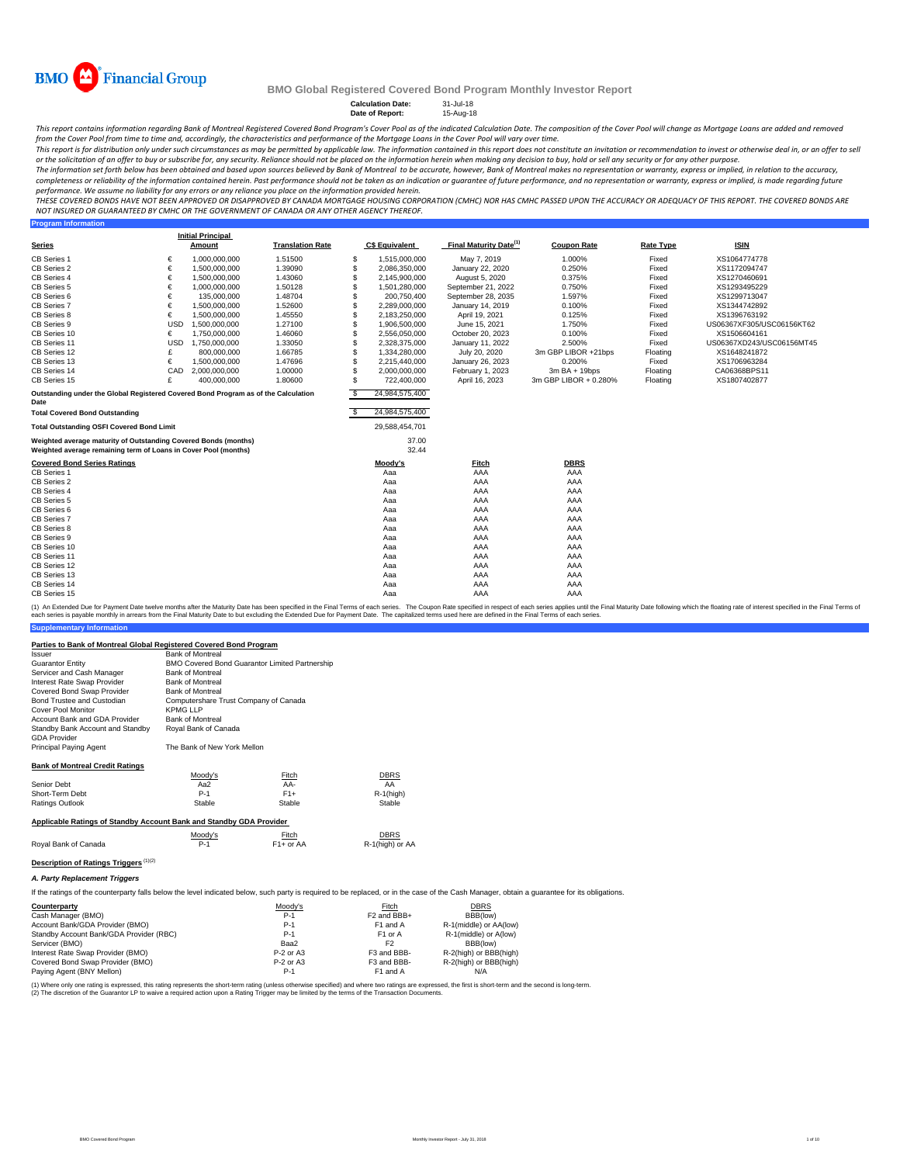

**Program Information**

#### **BMO Global Registered Covered Bond Program Monthly Investor Report**

**Calculation Date:** 31-Jul-18 **Date of Report:** 15-Aug-18

This report contains information regarding Bank of Montreal Registered Covered Bond Program's Cover Pool as of the indicated Calculation Date. The composition of the Cover Pool will change as Mortgage Loans are added and r from the Cover Pool from time to time and, accordingly, the characteristics and performance of the Mortgage Loans in the Cover Pool will vary over time.

This report is for distribution only under such circumstances as may be permitted by applicable law. The information contained in this report does not constitute an invitation or recommendation to invest or otherwise deal

The information set forth below has been obtained and based upon sources believed by Bank of Montreal to be accurate, however, Bank of Montreal makes no representation or warranty, express or implied, in relation to the ac completeness or reliability of the information contained herein. Past performance should not be taken as an indication or guarantee of future performance, and no representation or warranty, express or implied, is made rega performance. We assume no liability for any errors or any reliance you place on the information provided herein.

THESE COVERED BONDS HAVE NOT BEEN APPROVED OR DISAPPROVED BY CANADA MORTGAGE HOUSING CORPORATION (CMHC) NOR HAS CMHC PASSED UPON THE ACCURACY OR ADEQUACY OF THIS REPORT. THE COVERED BONDS ARE<br>NOT INSURED OR GUARANTEED BY C

|                                                                                                                                    |            | <b>Initial Principal</b> |                         |     |                       |                                    |                       |                  |                           |
|------------------------------------------------------------------------------------------------------------------------------------|------------|--------------------------|-------------------------|-----|-----------------------|------------------------------------|-----------------------|------------------|---------------------------|
| <b>Series</b>                                                                                                                      |            | Amount                   | <b>Translation Rate</b> |     | <b>C\$ Equivalent</b> | Final Maturity Date <sup>(1)</sup> | <b>Coupon Rate</b>    | <b>Rate Type</b> | <b>ISIN</b>               |
| CB Series 1                                                                                                                        | €          | 1.000.000.000            | 1.51500                 | \$  | 1,515,000,000         | May 7, 2019                        | 1.000%                | Fixed            | XS1064774778              |
| CB Series 2                                                                                                                        | €          | 1,500,000,000            | 1.39090                 | S   | 2,086,350,000         | January 22, 2020                   | 0.250%                | Fixed            | XS1172094747              |
| CB Series 4                                                                                                                        | €          | 1,500,000,000            | 1.43060                 | S   | 2,145,900,000         | August 5, 2020                     | 0.375%                | Fixed            | XS1270460691              |
| CB Series 5                                                                                                                        | €          | 1,000,000,000            | 1.50128                 | \$. | 1,501,280,000         | September 21, 2022                 | 0.750%                | Fixed            | XS1293495229              |
| CB Series 6                                                                                                                        | €          | 135.000.000              | 1.48704                 | S   | 200.750.400           | September 28, 2035                 | 1.597%                | Fixed            | XS1299713047              |
| CB Series 7                                                                                                                        | €          | 1,500,000,000            | 1.52600                 | \$. | 2,289,000,000         | January 14, 2019                   | 0.100%                | Fixed            | XS1344742892              |
| CB Series 8                                                                                                                        | €          | 1,500,000,000            | 1.45550                 | \$. | 2,183,250,000         | April 19, 2021                     | 0.125%                | Fixed            | XS1396763192              |
| CB Series 9                                                                                                                        | <b>USD</b> | 1,500,000,000            | 1.27100                 | \$. | 1,906,500,000         | June 15, 2021                      | 1.750%                | Fixed            | US06367XF305/USC06156KT62 |
| CB Series 10                                                                                                                       | €          | 1,750,000,000            | 1.46060                 | S   | 2,556,050,000         | October 20, 2023                   | 0.100%                | Fixed            | XS1506604161              |
| CB Series 11                                                                                                                       | <b>USD</b> | 1.750.000.000            | 1.33050                 | S   | 2.328.375.000         | January 11, 2022                   | 2.500%                | Fixed            | US06367XD243/USC06156MT45 |
| CB Series 12                                                                                                                       | £          | 800,000,000              | 1.66785                 |     | 1,334,280,000         | July 20, 2020                      | 3m GBP LIBOR +21bps   | Floating         | XS1648241872              |
| CB Series 13                                                                                                                       | €          | 1,500,000,000            | 1.47696                 | \$. | 2.215.440.000         | January 26, 2023                   | 0.200%                | Fixed            | XS1706963284              |
| CB Series 14                                                                                                                       | CAD        | 2,000,000,000            | 1.00000                 | \$. | 2,000,000,000         | February 1, 2023                   | $3mBA + 19bps$        | Floating         | CA06368BPS11              |
| CB Series 15                                                                                                                       | £          | 400.000.000              | 1.80600                 | \$. | 722,400,000           | April 16, 2023                     | 3m GBP LIBOR + 0.280% | Floating         | XS1807402877              |
| Outstanding under the Global Registered Covered Bond Program as of the Calculation<br>Date                                         |            |                          |                         | -S  | 24,984,575,400        |                                    |                       |                  |                           |
| <b>Total Covered Bond Outstanding</b>                                                                                              |            |                          |                         | S   | 24,984,575,400        |                                    |                       |                  |                           |
| <b>Total Outstanding OSFI Covered Bond Limit</b>                                                                                   |            |                          |                         |     | 29,588,454,701        |                                    |                       |                  |                           |
| Weighted average maturity of Outstanding Covered Bonds (months)<br>Weighted average remaining term of Loans in Cover Pool (months) |            |                          |                         |     | 37.00<br>32.44        |                                    |                       |                  |                           |
| <b>Covered Bond Series Ratings</b>                                                                                                 |            |                          |                         |     | Moody's               | Fitch                              | <b>DBRS</b>           |                  |                           |
| CB Series 1                                                                                                                        |            |                          |                         |     | Aaa                   | AAA                                | AAA                   |                  |                           |
| CB Series 2                                                                                                                        |            |                          |                         |     | Aaa                   | AAA                                | AAA                   |                  |                           |
| CB Series 4                                                                                                                        |            |                          |                         |     | Aaa                   | AAA                                | AAA                   |                  |                           |
| CB Series 5                                                                                                                        |            |                          |                         |     | Aaa                   | AAA                                | AAA                   |                  |                           |
| CB Series 6                                                                                                                        |            |                          |                         |     | Aaa                   | AAA                                | AAA                   |                  |                           |
| CB Series 7                                                                                                                        |            |                          |                         |     | Aaa                   | AAA                                | AAA                   |                  |                           |
| CB Series 8                                                                                                                        |            |                          |                         |     | Aaa                   | AAA                                | AAA                   |                  |                           |
| CB Series 9                                                                                                                        |            |                          |                         |     | Aaa                   | AAA                                | AAA                   |                  |                           |
| CB Series 10                                                                                                                       |            |                          |                         |     | Aaa                   | AAA                                | AAA                   |                  |                           |
| CB Series 11                                                                                                                       |            |                          |                         |     | Aaa                   | AAA                                | AAA                   |                  |                           |
| CB Series 12                                                                                                                       |            |                          |                         |     | Aaa                   | AAA                                | AAA                   |                  |                           |
| CB Series 13                                                                                                                       |            |                          |                         |     | Aaa                   | AAA                                | AAA                   |                  |                           |
| CB Series 14                                                                                                                       |            |                          |                         |     | Aaa                   | AAA                                | AAA                   |                  |                           |
| CB Series 15                                                                                                                       |            |                          |                         |     | Aaa                   | AAA                                | AAA                   |                  |                           |

**Supplementary Information** (1) An Extended Due for Payment Date twelve months after the Maturity Date has been specified in the Final Terms of each series. The Coupon Rate specified in the Final Maturity Date to but excluding the Extended Due for Pa

### **Parties to Bank of Montreal Global Registered Covered Bond Program**

| <b>Issuer</b>                                                       | <b>Bank of Montreal</b>               |                                                |                 |  |  |  |  |
|---------------------------------------------------------------------|---------------------------------------|------------------------------------------------|-----------------|--|--|--|--|
| <b>Guarantor Entity</b>                                             |                                       | BMO Covered Bond Guarantor Limited Partnership |                 |  |  |  |  |
| Servicer and Cash Manager                                           | <b>Bank of Montreal</b>               |                                                |                 |  |  |  |  |
| Interest Rate Swap Provider                                         | <b>Bank of Montreal</b>               |                                                |                 |  |  |  |  |
| Covered Bond Swap Provider                                          | <b>Bank of Montreal</b>               |                                                |                 |  |  |  |  |
| Bond Trustee and Custodian                                          | Computershare Trust Company of Canada |                                                |                 |  |  |  |  |
| Cover Pool Monitor                                                  | <b>KPMG LLP</b>                       |                                                |                 |  |  |  |  |
| Account Bank and GDA Provider                                       | <b>Bank of Montreal</b>               |                                                |                 |  |  |  |  |
| Standby Bank Account and Standby<br><b>GDA Provider</b>             | Royal Bank of Canada                  |                                                |                 |  |  |  |  |
| Principal Paying Agent                                              | The Bank of New York Mellon           |                                                |                 |  |  |  |  |
| <b>Bank of Montreal Credit Ratings</b>                              |                                       |                                                |                 |  |  |  |  |
|                                                                     | Moody's                               | Fitch                                          | <b>DBRS</b>     |  |  |  |  |
| Senior Debt                                                         | Aa2                                   | AA-                                            | AA              |  |  |  |  |
| Short-Term Debt                                                     | $P-1$                                 | $F1+$                                          | $R-1$ (high)    |  |  |  |  |
| <b>Ratings Outlook</b>                                              | Stable                                | Stable                                         | Stable          |  |  |  |  |
| Applicable Ratings of Standby Account Bank and Standby GDA Provider |                                       |                                                |                 |  |  |  |  |
|                                                                     | Moody's                               | Fitch                                          | <b>DBRS</b>     |  |  |  |  |
| Royal Bank of Canada                                                | $P-1$                                 | $F1+$ or AA                                    | R-1(high) or AA |  |  |  |  |
| Description of Ratings Triggers <sup>(1)(2)</sup>                   |                                       |                                                |                 |  |  |  |  |

### *A. Party Replacement Triggers*

If the ratings of the counterparty falls below the level indicated below, such party is required to be replaced, or in the case of the Cash Manager, obtain a guarantee for its obligations.

| Counterparty                            | Moody's     | Fitch                   | <b>DBRS</b>            |
|-----------------------------------------|-------------|-------------------------|------------------------|
| Cash Manager (BMO)                      | $P-1$       | F <sub>2</sub> and BBB+ | BBB(low)               |
| Account Bank/GDA Provider (BMO)         | $P-1$       | F1 and A                | R-1(middle) or AA(low) |
| Standby Account Bank/GDA Provider (RBC) | $P-1$       | F <sub>1</sub> or A     | R-1(middle) or A(low)  |
| Servicer (BMO)                          | Baa2        | F2                      | BBB(low)               |
| Interest Rate Swap Provider (BMO)       | $P-2$ or A3 | F3 and BBB-             | R-2(high) or BBB(high) |
| Covered Bond Swap Provider (BMO)        | P-2 or A3   | F3 and BBB-             | R-2(high) or BBB(high) |
| Paying Agent (BNY Mellon)               | $P-1$       | F1 and A                | N/A                    |

(1) Where only one rating is expressed, this rating represents the short-term rating (unless otherwise specified) and where two ratings are expressed, the first is short-term and the second is long-term.<br>(2) The discretion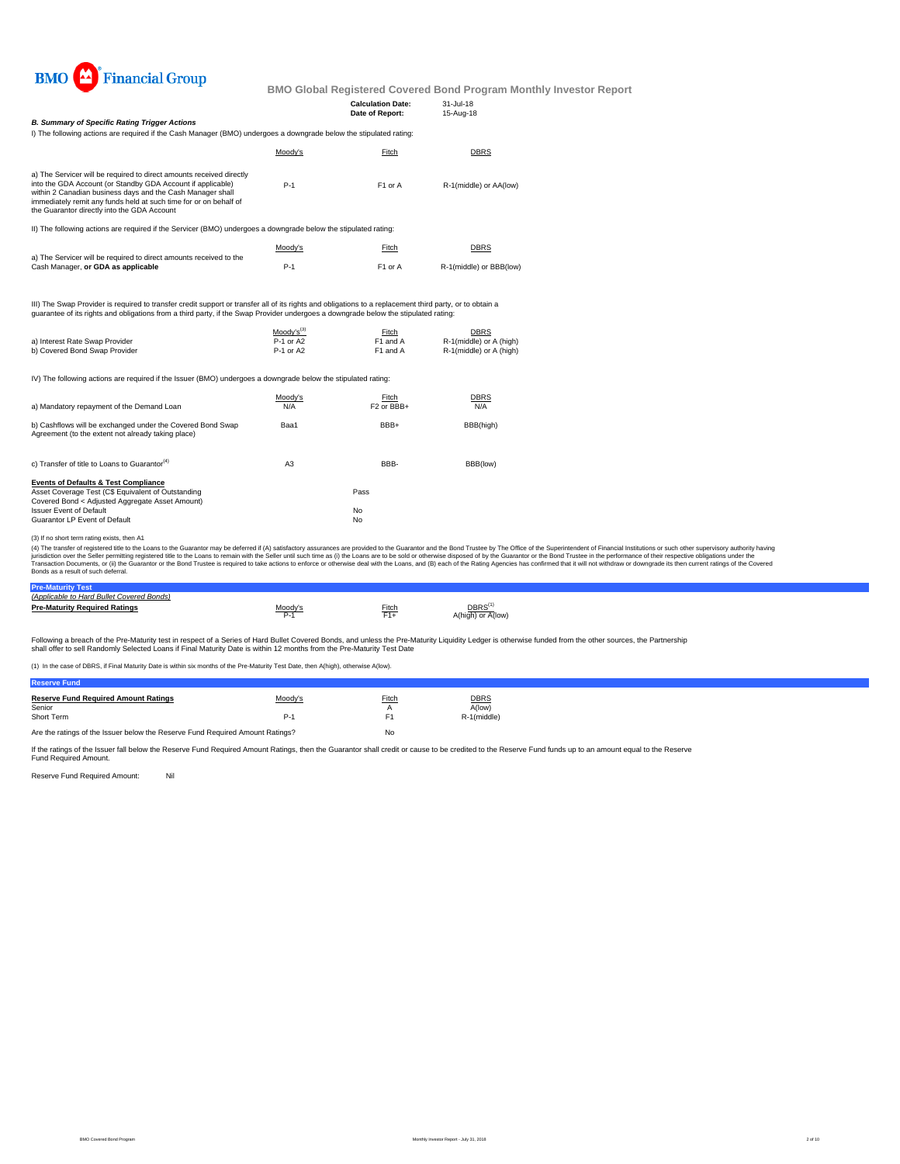

| <b>B. Summary of Specific Rating Trigger Actions</b>                                                                                                                                                                                                                                                                                |                        | <b>Calculation Date:</b><br>Date of Report: | 31-Jul-18<br>15-Aug-18                             |                                                                                                                                                                                                                                                                                                                                                                                                                                                                  |
|-------------------------------------------------------------------------------------------------------------------------------------------------------------------------------------------------------------------------------------------------------------------------------------------------------------------------------------|------------------------|---------------------------------------------|----------------------------------------------------|------------------------------------------------------------------------------------------------------------------------------------------------------------------------------------------------------------------------------------------------------------------------------------------------------------------------------------------------------------------------------------------------------------------------------------------------------------------|
| I) The following actions are required if the Cash Manager (BMO) undergoes a downgrade below the stipulated rating:                                                                                                                                                                                                                  |                        |                                             |                                                    |                                                                                                                                                                                                                                                                                                                                                                                                                                                                  |
|                                                                                                                                                                                                                                                                                                                                     | Moody's                | Fitch                                       | DBRS                                               |                                                                                                                                                                                                                                                                                                                                                                                                                                                                  |
| a) The Servicer will be required to direct amounts received directly<br>into the GDA Account (or Standby GDA Account if applicable)<br>within 2 Canadian business days and the Cash Manager shall<br>immediately remit any funds held at such time for or on behalf of<br>the Guarantor directly into the GDA Account               | $P-1$                  | F1 or A                                     | R-1(middle) or AA(low)                             |                                                                                                                                                                                                                                                                                                                                                                                                                                                                  |
| II) The following actions are required if the Servicer (BMO) undergoes a downgrade below the stipulated rating:                                                                                                                                                                                                                     |                        |                                             |                                                    |                                                                                                                                                                                                                                                                                                                                                                                                                                                                  |
|                                                                                                                                                                                                                                                                                                                                     | Moody's                | Fitch                                       | DBRS                                               |                                                                                                                                                                                                                                                                                                                                                                                                                                                                  |
| a) The Servicer will be required to direct amounts received to the<br>Cash Manager, or GDA as applicable                                                                                                                                                                                                                            | $P-1$                  | F1 or A                                     | R-1(middle) or BBB(low)                            |                                                                                                                                                                                                                                                                                                                                                                                                                                                                  |
| III) The Swap Provider is required to transfer credit support or transfer all of its rights and obligations to a replacement third party, or to obtain a<br>guarantee of its rights and obligations from a third party, if the Swap Provider undergoes a downgrade below the stipulated rating:                                     |                        |                                             |                                                    |                                                                                                                                                                                                                                                                                                                                                                                                                                                                  |
|                                                                                                                                                                                                                                                                                                                                     | $M$ oody's $^{(3)}$    | Fitch                                       | <b>DBRS</b>                                        |                                                                                                                                                                                                                                                                                                                                                                                                                                                                  |
| a) Interest Rate Swap Provider<br>b) Covered Bond Swap Provider                                                                                                                                                                                                                                                                     | P-1 or A2<br>P-1 or A2 | F1 and A<br>F1 and A                        | R-1(middle) or A (high)<br>R-1(middle) or A (high) |                                                                                                                                                                                                                                                                                                                                                                                                                                                                  |
| IV) The following actions are required if the Issuer (BMO) undergoes a downgrade below the stipulated rating:                                                                                                                                                                                                                       |                        |                                             |                                                    |                                                                                                                                                                                                                                                                                                                                                                                                                                                                  |
| a) Mandatory repayment of the Demand Loan                                                                                                                                                                                                                                                                                           | Moody's<br>N/A         | Fitch<br>F <sub>2</sub> or BBB+             | <b>DBRS</b><br>N/A                                 |                                                                                                                                                                                                                                                                                                                                                                                                                                                                  |
| b) Cashflows will be exchanged under the Covered Bond Swap<br>Agreement (to the extent not already taking place)                                                                                                                                                                                                                    | Baa1                   | BBB+                                        | BBB(high)                                          |                                                                                                                                                                                                                                                                                                                                                                                                                                                                  |
| c) Transfer of title to Loans to Guarantor <sup>(4)</sup>                                                                                                                                                                                                                                                                           | A <sub>3</sub>         | BBB-                                        | BBB(low)                                           |                                                                                                                                                                                                                                                                                                                                                                                                                                                                  |
| <b>Events of Defaults &amp; Test Compliance</b><br>Asset Coverage Test (C\$ Equivalent of Outstanding<br>Covered Bond < Adjusted Aggregate Asset Amount)                                                                                                                                                                            |                        | Pass                                        |                                                    |                                                                                                                                                                                                                                                                                                                                                                                                                                                                  |
| <b>Issuer Event of Default</b><br>Guarantor LP Event of Default                                                                                                                                                                                                                                                                     |                        | No<br>No                                    |                                                    |                                                                                                                                                                                                                                                                                                                                                                                                                                                                  |
| (3) If no short term rating exists, then A1<br>jurisdiction over the Seller permitting registered title to the Loans to remain with the Seller until such time as (i) the Loans are to be sold or otherwise disposed of by the Guarantor or the Bond Trustee in the performan<br>Bonds as a result of such deferral.                |                        |                                             |                                                    | (4) The transfer of registered title to the Loans to the Guarantor may be deferred if (A) satisfactory assurances are provided to the Guarantor and the Bond Trustee by The Office of the Superintendent of Financial Institut<br>Transaction Documents, or (ii) the Guarantor or the Bond Trustee is required to take actions to enforce or otherwise deal with the Loans, and (B) each of the Rating Agencies has confirmed that it will not withdraw or downg |
| <b>Pre-Maturity Test</b>                                                                                                                                                                                                                                                                                                            |                        |                                             |                                                    |                                                                                                                                                                                                                                                                                                                                                                                                                                                                  |
| (Applicable to Hard Bullet Covered Bonds)<br><b>Pre-Maturity Required Ratings</b>                                                                                                                                                                                                                                                   | Moody's<br>$P-1$       | Fitch<br>$F1+$                              | DBRS <sup>(1)</sup><br>A(high) or A(low)           |                                                                                                                                                                                                                                                                                                                                                                                                                                                                  |
| Following a breach of the Pre-Maturity test in respect of a Series of Hard Bullet Covered Bonds, and unless the Pre-Maturity Liquidity Ledger is otherwise funded from the other sources, the Partnership<br>shall offer to sell Randomly Selected Loans if Final Maturity Date is within 12 months from the Pre-Maturity Test Date |                        |                                             |                                                    |                                                                                                                                                                                                                                                                                                                                                                                                                                                                  |

(1) In the case of DBRS, if Final Maturity Date is within six months of the Pre-Maturity Test Date, then A(high), otherwise A(low).

| ------------------                          |            |       |             |  |
|---------------------------------------------|------------|-------|-------------|--|
| <b>Reserve Fund Required Amount Ratings</b> | Moody's    | Fitch | <b>DBRS</b> |  |
| Senior                                      |            |       | A(low)      |  |
| Short Term                                  | <u>. .</u> |       | R-1(middle) |  |
|                                             |            |       |             |  |

Are the ratings of the Issuer below the Reserve Fund Required Amount Ratings? No

If the ratings of the Issuer fall below the Reserve Fund Required Amount Ratings, then the Guarantor shall credit or cause to be credited to the Reserve Fund funds up to an amount equal to the Reserve Fund Required Amount.

Reserve Fund Required Amount: Nil

**Reserve Fund**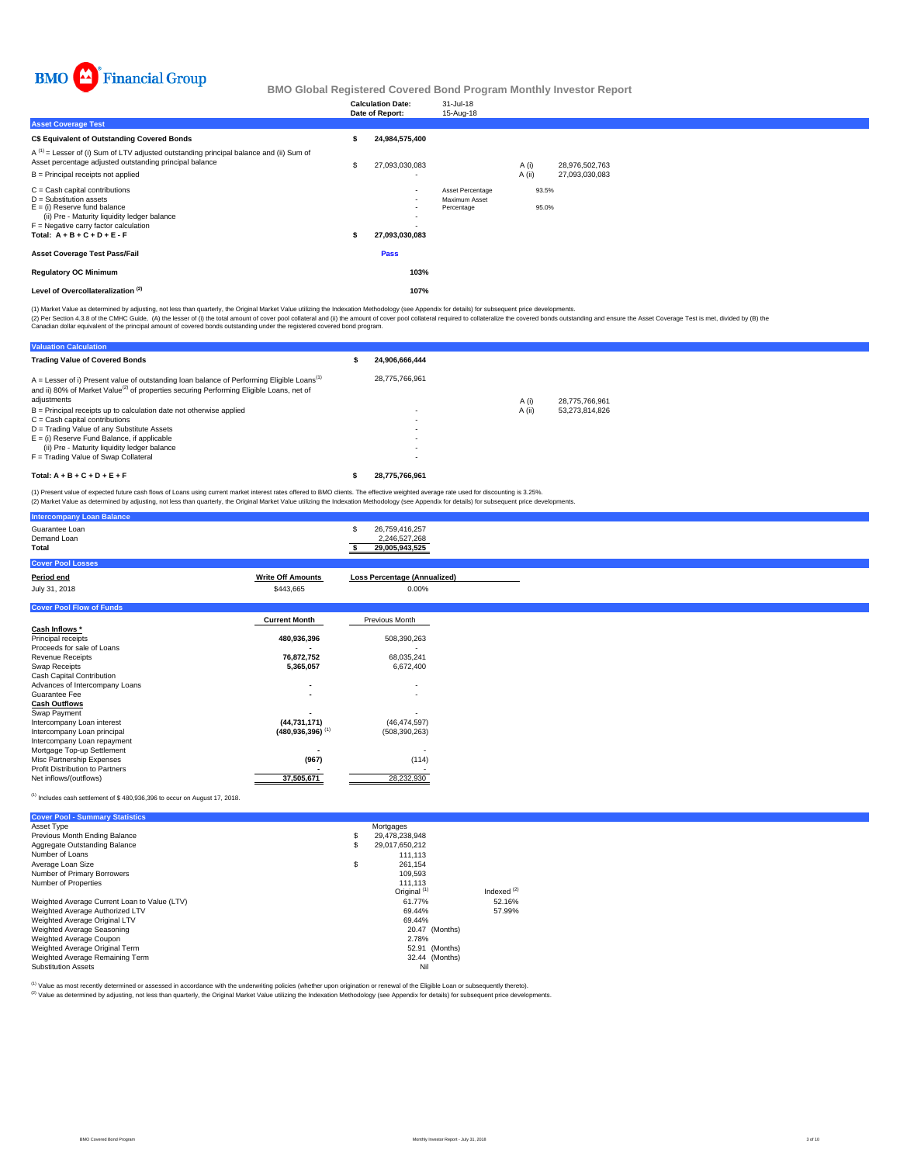

|                                                                                                                                                                                                                              | <b>Calculation Date:</b><br>Date of Report: | 31-Jul-18<br>15-Aug-18                          |        |                |                |
|------------------------------------------------------------------------------------------------------------------------------------------------------------------------------------------------------------------------------|---------------------------------------------|-------------------------------------------------|--------|----------------|----------------|
| <b>Asset Coverage Test</b>                                                                                                                                                                                                   |                                             |                                                 |        |                |                |
| C\$ Equivalent of Outstanding Covered Bonds                                                                                                                                                                                  | 24,984,575,400                              |                                                 |        |                |                |
| $A^{(1)}$ = Lesser of (i) Sum of LTV adjusted outstanding principal balance and (ii) Sum of<br>Asset percentage adjusted outstanding principal balance                                                                       | 27,093,030,083                              |                                                 | A (i)  |                | 28,976,502,763 |
| B = Principal receipts not applied                                                                                                                                                                                           |                                             |                                                 | A (ii) |                | 27,093,030,083 |
| $C =$ Cash capital contributions<br>$D =$ Substitution assets<br>$E =$ (i) Reserve fund balance<br>(ii) Pre - Maturity liquidity ledger balance<br>$F =$ Negative carry factor calculation<br>Total: $A + B + C + D + E - F$ | $\sim$<br>$\sim$<br>27,093,030,083          | Asset Percentage<br>Maximum Asset<br>Percentage |        | 93.5%<br>95.0% |                |
| <b>Asset Coverage Test Pass/Fail</b>                                                                                                                                                                                         | Pass                                        |                                                 |        |                |                |
| <b>Regulatory OC Minimum</b>                                                                                                                                                                                                 | 103%                                        |                                                 |        |                |                |
| Level of Overcollateralization <sup>(2)</sup>                                                                                                                                                                                | 107%                                        |                                                 |        |                |                |

(1) Market Value as determined by adjusting, not less than quarterly, the Original Market Value utilizing the Indexation Methodology (see Appendix for details) for subsequent price developments.

(2) Per Section 4.3.8 of the CMHC Guide, (A) the lesser of (i) the total amount of cover pool collateral and (ii) the amount of cover pool collateral required to collateralize the covered bonds outstanding and ensure the A

| <b>Valuation Calculation</b>                                                                                                                                                                                                   |                |
|--------------------------------------------------------------------------------------------------------------------------------------------------------------------------------------------------------------------------------|----------------|
| <b>Trading Value of Covered Bonds</b>                                                                                                                                                                                          | 24.906.666.444 |
| $A =$ Lesser of i) Present value of outstanding loan balance of Performing Eligible Loans <sup>(1)</sup><br>and ii) 80% of Market Value <sup>(2)</sup> of properties securing Performing Eligible Loans, net of<br>adjustments | 28.775.766.961 |
| $B =$ Principal receipts up to calculation date not otherwise applied                                                                                                                                                          |                |
| $C = Cash$ capital contributions                                                                                                                                                                                               |                |
| D = Trading Value of any Substitute Assets                                                                                                                                                                                     |                |
| $E =$ (i) Reserve Fund Balance, if applicable                                                                                                                                                                                  |                |
| (ii) Pre - Maturity liquidity ledger balance                                                                                                                                                                                   |                |
| F = Trading Value of Swap Collateral                                                                                                                                                                                           |                |
| Total: $A + B + C + D + E + F$                                                                                                                                                                                                 | 28.775.766.961 |

(1) Present value of expected future cash flows of Loans using current market interest rates offered to BMO clients. The effective weighted average rate used for discounting is 3.25%.<br>(2) Market Value as determined by adju

| <b>Intercompany Loan Balance</b>       |                                  |                                                   |
|----------------------------------------|----------------------------------|---------------------------------------------------|
| Guarantee Loan<br>Demand Loan<br>Total |                                  | 26,759,416,257<br>2,246,527,268<br>29,005,943,525 |
| <b>Cover Pool Losses</b>               |                                  |                                                   |
| Period end                             | <b>Write Off Amounts</b>         | <b>Loss Percentage (Annualized)</b>               |
| July 31, 2018                          | \$443,665                        | $0.00\%$                                          |
| <b>Cover Pool Flow of Funds</b>        |                                  |                                                   |
|                                        | <b>Current Month</b>             | Previous Month                                    |
| Cash Inflows *                         |                                  |                                                   |
| Principal receipts                     | 480,936,396                      | 508,390,263                                       |
| Proceeds for sale of Loans             |                                  |                                                   |
| Revenue Receipts                       | 76,872,752                       | 68,035,241                                        |
| Swap Receipts                          | 5,365,057                        | 6,672,400                                         |
| Cash Capital Contribution              |                                  |                                                   |
| Advances of Intercompany Loans         |                                  | $\overline{\phantom{a}}$                          |
| Guarantee Fee                          |                                  | $\overline{\phantom{a}}$                          |
| <b>Cash Outflows</b>                   |                                  |                                                   |
| Swap Payment                           |                                  |                                                   |
| Intercompany Loan interest             | (44, 731, 171)                   | (46, 474, 597)                                    |
| Intercompany Loan principal            | $(480, 936, 396)$ <sup>(1)</sup> | (508, 390, 263)                                   |
| Intercompany Loan repayment            |                                  |                                                   |
| Mortgage Top-up Settlement             |                                  |                                                   |
| Misc Partnership Expenses              | (967)                            | (114)                                             |
| Profit Distribution to Partners        |                                  |                                                   |
| Net inflows/(outflows)                 | 37,505,671                       | 28,232,930                                        |

### $<sup>(1)</sup>$  Includes cash settlement of \$480,936,396 to occur on August 17, 2018.</sup>

| <b>Cover Pool - Summary Statistics</b>       |                         |               |
|----------------------------------------------|-------------------------|---------------|
| Asset Type                                   | Mortgages               |               |
| Previous Month Ending Balance                | \$<br>29.478.238.948    |               |
| Aggregate Outstanding Balance                | \$<br>29.017.650.212    |               |
| Number of Loans                              | 111.113                 |               |
| Average Loan Size                            | \$<br>261.154           |               |
| Number of Primary Borrowers                  | 109.593                 |               |
| Number of Properties                         | 111.113                 |               |
|                                              | Original <sup>(1)</sup> | Indexed $(2)$ |
| Weighted Average Current Loan to Value (LTV) | 61.77%                  | 52.16%        |
| Weighted Average Authorized LTV              | 69.44%                  | 57.99%        |
| Weighted Average Original LTV                | 69.44%                  |               |
| Weighted Average Seasoning                   | 20.47 (Months)          |               |
| Weighted Average Coupon                      | 2.78%                   |               |
| Weighted Average Original Term               | 52.91 (Months)          |               |
| Weighted Average Remaining Term              | 32.44 (Months)          |               |
| <b>Substitution Assets</b>                   | Nil                     |               |

(1) Value as most recently determined or assessed in accordance with the underwriting policies (whether upon origination or renewal of the Eligible Loan or subsequently thereto).

Value as incorrections conclusions of cooleration and the termined by adjusting the Indexation Methodology (see Appendix for details) for subsequent price developments.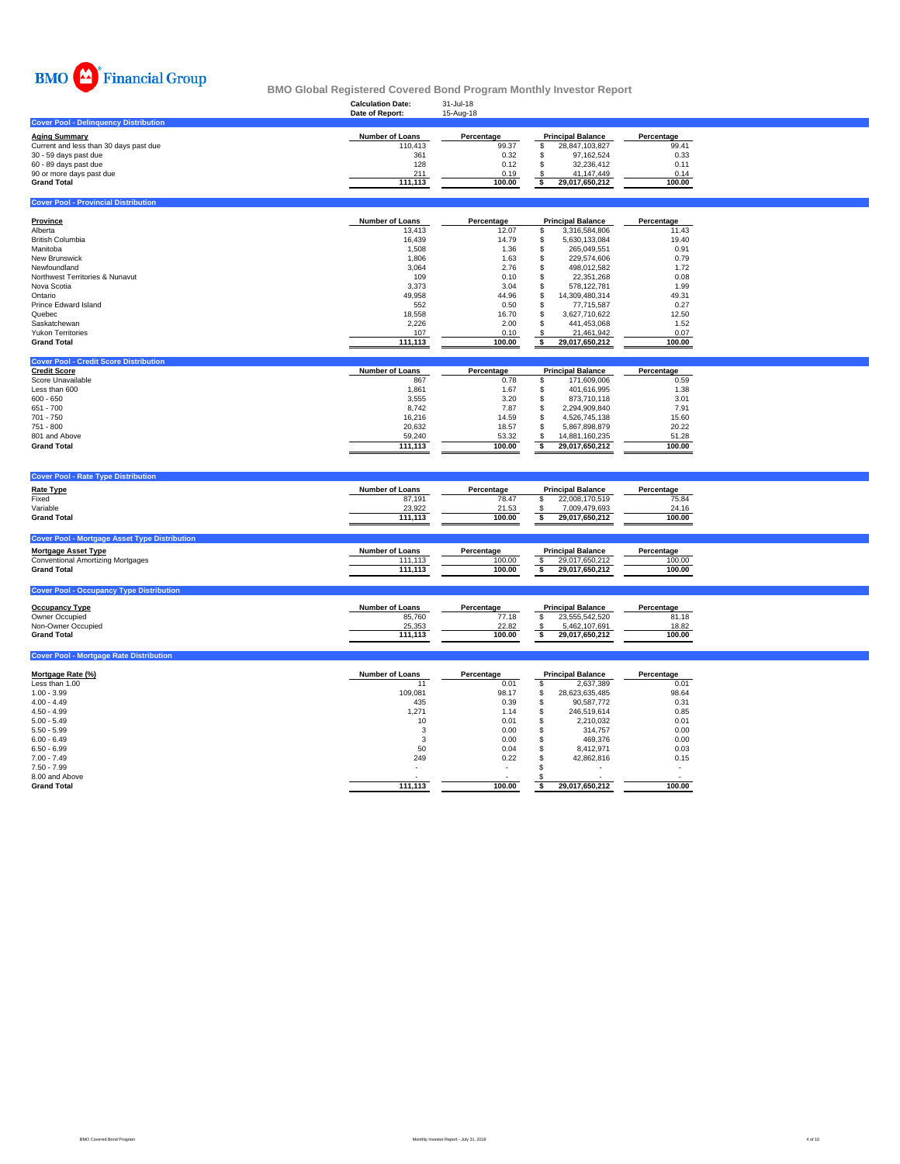

**Cover Pool - Provincial Distri** 

### **Calculation Date:** 31-Jul-18 **BMO Global Registered Covered Bond Program Monthly Investor Report**

|                                              | Date of Report:        | 15-Aug-18  |                          |            |
|----------------------------------------------|------------------------|------------|--------------------------|------------|
| <b>Cover Pool - Delinguency Distribution</b> |                        |            |                          |            |
| Aging Summarv                                | <b>Number of Loans</b> | Percentage | <b>Principal Balance</b> | Percentage |
| Current and less than 30 days past due       | 110.413                | 99.37      | 28.847.103.827           | 99.41      |
| 30 - 59 days past due                        | 361                    | 0.32       | 97.162.524               | 0.33       |
| 60 - 89 days past due                        | 128                    | 0.12       | 32.236.412               | 0.11       |
| 90 or more days past due                     | 211                    | 0.19       | 41.147.449               | 0.14       |
| <b>Grand Total</b>                           | 111.113                | 100.00     | 29.017.650.212           | 100.00     |
|                                              |                        |            |                          |            |

| Province                        | <b>Number of Loans</b> | Percentage | <b>Principal Balance</b> |                | Percentage |
|---------------------------------|------------------------|------------|--------------------------|----------------|------------|
| Alberta                         | 13,413                 | 12.07      |                          | 3.316.584.806  | 11.43      |
| <b>British Columbia</b>         | 16.439                 | 14.79      |                          | 5.630.133.084  | 19.40      |
| Manitoba                        | 1,508                  | 1.36       |                          | 265.049.551    | 0.91       |
| New Brunswick                   | 1,806                  | 1.63       |                          | 229.574.606    | 0.79       |
| Newfoundland                    | 3,064                  | 2.76       |                          | 498.012.582    | 1.72       |
| Northwest Territories & Nunavut | 109                    | 0.10       |                          | 22.351.268     | 0.08       |
| Nova Scotia                     | 3.373                  | 3.04       |                          | 578.122.781    | 1.99       |
| Ontario                         | 49,958                 | 44.96      |                          | 14.309.480.314 | 49.31      |
| Prince Edward Island            | 552                    | 0.50       |                          | 77.715.587     | 0.27       |
| Quebec                          | 18,558                 | 16.70      |                          | 3.627.710.622  | 12.50      |
| Saskatchewan                    | 2,226                  | 2.00       |                          | 441.453.068    | 1.52       |
| <b>Yukon Territories</b>        | 107                    | 0.10       |                          | 21.461.942     | 0.07       |
| <b>Grand Total</b>              | 111.113                | 100.00     |                          | 29.017.650.212 | 100.00     |

| <b>Cover Pool - Credit Score Distribution</b> |                        |            |                          |                |            |
|-----------------------------------------------|------------------------|------------|--------------------------|----------------|------------|
| <b>Credit Score</b>                           | <b>Number of Loans</b> | Percentage | <b>Principal Balance</b> |                | Percentage |
| Score Unavailable                             | 867                    | 0.78       |                          | 171.609.006    | 0.59       |
| Less than 600                                 | 1.861                  | 1.67       |                          | 401.616.995    | 1.38       |
| $600 - 650$                                   | 3.555                  | 3.20       |                          | 873.710.118    | 3.01       |
| $651 - 700$                                   | 8.742                  | 7.87       |                          | 2.294.909.840  | 7.91       |
| 701 - 750                                     | 16.216                 | 14.59      |                          | 4.526.745.138  | 15.60      |
| 751 - 800                                     | 20.632                 | 18.57      |                          | 5.867.898.879  | 20.22      |
| 801 and Above                                 | 59,240                 | 53.32      |                          | 14.881.160.235 | 51.28      |
| <b>Grand Total</b>                            | 111.113                | 100.00     |                          | 29.017.650.212 | 100.00     |

| <b>Cover Pool - Rate Type Distribution</b>           |                        |            |                          |            |
|------------------------------------------------------|------------------------|------------|--------------------------|------------|
| <b>Rate Type</b>                                     | <b>Number of Loans</b> | Percentage | <b>Principal Balance</b> | Percentage |
| Fixed                                                | 87.191                 | 78.47      | 22,008,170,519           | 75.84      |
| Variable                                             | 23,922                 | 21.53      | 7,009,479,693            | 24.16      |
| <b>Grand Total</b>                                   | 111.113                | 100.00     | 29,017,650,212           | 100.00     |
|                                                      |                        |            |                          |            |
| <b>Cover Pool - Mortgage Asset Type Distribution</b> |                        |            |                          |            |
| Mortgage Asset Type                                  | <b>Number of Loans</b> | Percentage | <b>Principal Balance</b> | Percentage |
| <b>Conventional Amortizing Mortgages</b>             | 111.113                | 100.00     | 29,017,650,212           | 100.00     |
| <b>Grand Total</b>                                   | 111.113                | 100.00     | 29.017.650.212           | 100.00     |
|                                                      |                        |            |                          |            |
|                                                      |                        |            |                          |            |

| <b>Occupancy Type</b> | <b>Number of Loans</b> | Percentage | <b>Principal Balance</b> | Percentage |
|-----------------------|------------------------|------------|--------------------------|------------|
| Owner Occupied        | 85,760                 | 77.18      | 23.555.542.520           | 81.18      |
| Non-Owner Occupied    | 25.353                 | 22.82      | 5.462.107.691            | 18.82      |
| <b>Grand Total</b>    | 111.113                | 100.00     | 29.017.650.212           | 100.00     |

| <b>Cover Pool - Mortgage Rate Distribution</b> |                        |            |    |                          |            |  |  |  |  |  |  |  |  |
|------------------------------------------------|------------------------|------------|----|--------------------------|------------|--|--|--|--|--|--|--|--|
| Mortgage Rate (%)                              | <b>Number of Loans</b> | Percentage |    | <b>Principal Balance</b> | Percentage |  |  |  |  |  |  |  |  |
| Less than 1.00                                 | 11                     | 0.01       |    | 2,637,389                | 0.01       |  |  |  |  |  |  |  |  |
| $1.00 - 3.99$                                  | 109,081                | 98.17      | \$ | 28,623,635,485           | 98.64      |  |  |  |  |  |  |  |  |
| $4.00 - 4.49$                                  | 435                    | 0.39       |    | 90.587.772               | 0.31       |  |  |  |  |  |  |  |  |
| $4.50 - 4.99$                                  | 1,271                  | 1.14       |    | 246.519.614              | 0.85       |  |  |  |  |  |  |  |  |
| $5.00 - 5.49$                                  | 10                     | 0.01       |    | 2,210,032                | 0.01       |  |  |  |  |  |  |  |  |
| $5.50 - 5.99$                                  |                        | 0.00       |    | 314,757                  | 0.00       |  |  |  |  |  |  |  |  |
| $6.00 - 6.49$                                  | 3                      | 0.00       |    | 469.376                  | 0.00       |  |  |  |  |  |  |  |  |
| $6.50 - 6.99$                                  | 50                     | 0.04       |    | 8,412,971                | 0.03       |  |  |  |  |  |  |  |  |
| $7.00 - 7.49$                                  | 249                    | 0.22       |    | 42.862.816               | 0.15       |  |  |  |  |  |  |  |  |
| $7.50 - 7.99$                                  | ۰                      | $\sim$     |    |                          |            |  |  |  |  |  |  |  |  |
| 8.00 and Above                                 |                        |            |    |                          |            |  |  |  |  |  |  |  |  |
| <b>Grand Total</b>                             | 111,113                | 100.00     |    | 29,017,650,212           | 100.00     |  |  |  |  |  |  |  |  |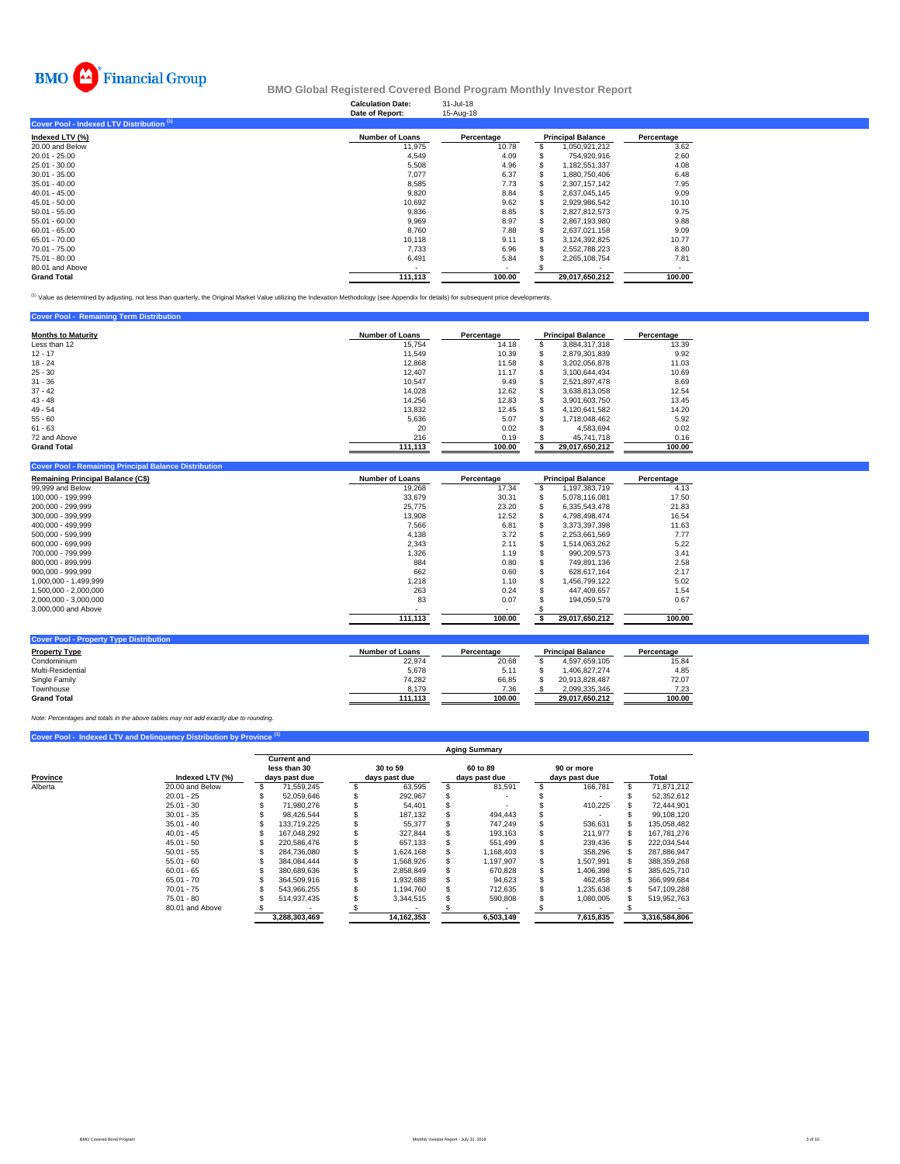

|                                           | <b>Calculation Date:</b><br>Date of Report: | 31-Jul-18<br>15-Aug-18   |     |                          |            |
|-------------------------------------------|---------------------------------------------|--------------------------|-----|--------------------------|------------|
| Cover Pool - Indexed LTV Distribution (1) |                                             |                          |     |                          |            |
| Indexed LTV (%)                           | <b>Number of Loans</b>                      | Percentage               |     | <b>Principal Balance</b> | Percentage |
| 20.00 and Below                           | 11,975                                      | 10.78                    | \$. | 1,050,921,212            | 3.62       |
| $20.01 - 25.00$                           | 4,549                                       | 4.09                     |     | 754,920,916              | 2.60       |
| 25.01 - 30.00                             | 5,508                                       | 4.96                     |     | 1,182,551,337            | 4.08       |
| $30.01 - 35.00$                           | 7,077                                       | 6.37                     |     | 1.880.750.406            | 6.48       |
| $35.01 - 40.00$                           | 8,585                                       | 7.73                     |     | 2.307.157.142            | 7.95       |
| $40.01 - 45.00$                           | 9,820                                       | 8.84                     |     | 2,637,045,145            | 9.09       |
| $45.01 - 50.00$                           | 10,692                                      | 9.62                     |     | 2,929,986,542            | 10.10      |
| $50.01 - 55.00$                           | 9,836                                       | 8.85                     |     | 2,827,812,573            | 9.75       |
| $55.01 - 60.00$                           | 9,969                                       | 8.97                     |     | 2,867,193,980            | 9.88       |
| $60.01 - 65.00$                           | 8,760                                       | 7.88                     |     | 2,637,021,158            | 9.09       |
| 65.01 - 70.00                             | 10,118                                      | 9.11                     |     | 3,124,392,825            | 10.77      |
| 70.01 - 75.00                             | 7,733                                       | 6.96                     |     | 2,552,788,223            | 8.80       |
| 75.01 - 80.00                             | 6,491                                       | 5.84                     |     | 2,265,108,754            | 7.81       |
| 80.01 and Above                           |                                             | $\overline{\phantom{a}}$ |     |                          |            |
| <b>Grand Total</b>                        | 111,113                                     | 100.00                   |     | 29,017,650,212           | 100.00     |

<sup>(1)</sup> Value as determined by adjusting, not less than quarterly, the Original Market Value utilizing the Indexation Methodology (see Appendix for details) for subsequent price developments.

| <b>Cover Pool - Remaining Term Distribution</b> |                        |            |                          |            |
|-------------------------------------------------|------------------------|------------|--------------------------|------------|
| <b>Months to Maturity</b>                       | <b>Number of Loans</b> | Percentage | <b>Principal Balance</b> | Percentage |
| Less than 12                                    | 15.754                 | 14.18      | 3.884.317.318            | 13.39      |
| $12 - 17$                                       | 11.549                 | 10.39      | 2,879,301,839            | 9.92       |
| $18 - 24$                                       | 12,868                 | 11.58      | 3.202.056.878            | 11.03      |
| $25 - 30$                                       | 12.407                 | 11.17      | 3.100.644.434            | 10.69      |
| $31 - 36$                                       | 10.547                 | 9.49       | 2.521.897.478            | 8.69       |
| $37 - 42$                                       | 14.028                 | 12.62      | 3.638.813.058            | 12.54      |
| $43 - 48$                                       | 14.256                 | 12.83      | 3.901.603.750            | 13.45      |
| $49 - 54$                                       | 13,832                 | 12.45      | 4.120.641.582            | 14.20      |
| $55 - 60$                                       | 5.636                  | 5.07       | 1.718.048.462            | 5.92       |
| $61 - 63$                                       | 20                     | 0.02       | 4.583.694                | 0.02       |
| 72 and Above                                    | 216                    | 0.19       | 45,741,718               | 0.16       |
| <b>Grand Total</b>                              | 111,113                | 100.00     | 29,017,650,212           | 100.00     |

| <b>Remaining Principal Balance (C\$)</b> | <b>Number of Loans</b> | Percentage |   | <b>Principal Balance</b> | Percentage |
|------------------------------------------|------------------------|------------|---|--------------------------|------------|
| 99,999 and Below                         | 19,268                 | 17.34      |   | 1,197,383,719            | 4.13       |
| 100.000 - 199.999                        | 33,679                 | 30.31      |   | 5.078.116.081            | 17.50      |
| 200,000 - 299,999                        | 25,775                 | 23.20      |   | 6.335.543.478            | 21.83      |
| 300.000 - 399.999                        | 13,908                 | 12.52      |   | 4.798.498.474            | 16.54      |
| 400.000 - 499.999                        | 7.566                  | 6.81       |   | 3.373.397.398            | 11.63      |
| 500.000 - 599.999                        | 4,138                  | 3.72       |   | 2,253,661,569            | 7.77       |
| 600.000 - 699.999                        | 2,343                  | 2.11       |   | 1.514.063.262            | 5.22       |
| 700.000 - 799.999                        | 1,326                  | 1.19       | э | 990.209.573              | 3.41       |
| 800.000 - 899.999                        | 884                    | 0.80       | ж | 749.891.136              | 2.58       |
| 900.000 - 999.999                        | 662                    | 0.60       |   | 628.617.164              | 2.17       |
| 1.000.000 - 1.499.999                    | 1,218                  | 1.10       |   | 1.456.799.122            | 5.02       |
| 1.500.000 - 2.000.000                    | 263                    | 0.24       |   | 447.409.657              | 1.54       |
| 2,000,000 - 3,000,000                    | 83                     | 0.07       |   | 194.059.579              | 0.67       |
| 3,000,000 and Above                      |                        | ۰          |   |                          |            |
|                                          | 111,113                | 100.00     |   | 29,017,650,212           | 100.00     |

| <b>Cover Pool - Property Type Distribution</b> |                 |            |                          |                |        |
|------------------------------------------------|-----------------|------------|--------------------------|----------------|--------|
| <b>Property Type</b>                           | Number of Loans | Percentage | <b>Principal Balance</b> | Percentage     |        |
| Condominium                                    | 22,974          | 20.68      |                          | 4.597.659.105  | 15.84  |
| Multi-Residential                              | 5.678           | 5.11       |                          | 1.406.827.274  | 4.85   |
| Single Family                                  | 74.282          | 66.85      |                          | 20.913.828.487 | 72.07  |
| Townhouse                                      | 8.179           | 7.36       |                          | 2.099.335.346  | 7.23   |
| <b>Grand Total</b>                             | 111.113         | 100.00     |                          | 29.017.650.212 | 100.00 |

*Note: Percentages and totals in the above tables may not add exactly due to rounding.*

## **Cover Pool - Indexed LTV and Delinquency Distribution by Provine**

|          |                 | <b>Aging Summary</b>                                |               |                           |            |   |                           |  |                             |  |               |  |
|----------|-----------------|-----------------------------------------------------|---------------|---------------------------|------------|---|---------------------------|--|-----------------------------|--|---------------|--|
| Province | Indexed LTV (%) | <b>Current and</b><br>less than 30<br>days past due |               | 30 to 59<br>days past due |            |   | 60 to 89<br>days past due |  | 90 or more<br>days past due |  | Total         |  |
| Alberta  | 20.00 and Below |                                                     | 71.559.245    |                           | 63.595     | S | 81.591                    |  | 166.781                     |  | 71.871.212    |  |
|          | $20.01 - 25$    |                                                     | 52.059.646    |                           | 292,967    |   |                           |  |                             |  | 52,352,612    |  |
|          | $25.01 - 30$    |                                                     | 71.980.276    |                           | 54,401     |   |                           |  | 410.225                     |  | 72.444.901    |  |
|          | $30.01 - 35$    |                                                     | 98.426.544    |                           | 187.132    |   | 494.443                   |  |                             |  | 99,108,120    |  |
|          | $35.01 - 40$    |                                                     | 133.719.225   |                           | 55.377     |   | 747.249                   |  | 536.631                     |  | 135.058.482   |  |
|          | $40.01 - 45$    |                                                     | 167.048.292   |                           | 327.844    |   | 193.163                   |  | 211.977                     |  | 167.781.276   |  |
|          | $45.01 - 50$    |                                                     | 220.586.476   |                           | 657.133    |   | 551.499                   |  | 239.436                     |  | 222.034.544   |  |
|          | $50.01 - 55$    |                                                     | 284.736.080   |                           | 1.624.168  |   | 1.168.403                 |  | 358,296                     |  | 287,886,947   |  |
|          | $55.01 - 60$    |                                                     | 384.084.444   |                           | 1.568.926  |   | 1,197,907                 |  | ,507,991                    |  | 388,359,268   |  |
|          | $60.01 - 65$    |                                                     | 380.689.636   |                           | 2.858.849  |   | 670.828                   |  | 1,406,398                   |  | 385.625.710   |  |
|          | $65.01 - 70$    |                                                     | 364.509.916   |                           | 1.932.688  |   | 94.623                    |  | 462.458                     |  | 366.999.684   |  |
|          | $70.01 - 75$    |                                                     | 543.966.255   |                           | 1.194.760  |   | 712,635                   |  | 1,235,638                   |  | 547,109,288   |  |
|          | $75.01 - 80$    |                                                     | 514.937.435   |                           | 3,344,515  |   | 590,808                   |  | 1.080.005                   |  | 519.952.763   |  |
|          | 80.01 and Above |                                                     |               |                           |            |   |                           |  |                             |  |               |  |
|          |                 |                                                     | 3.288.303.469 |                           | 14.162.353 |   | 6.503.149                 |  | 7.615.835                   |  | 3.316.584.806 |  |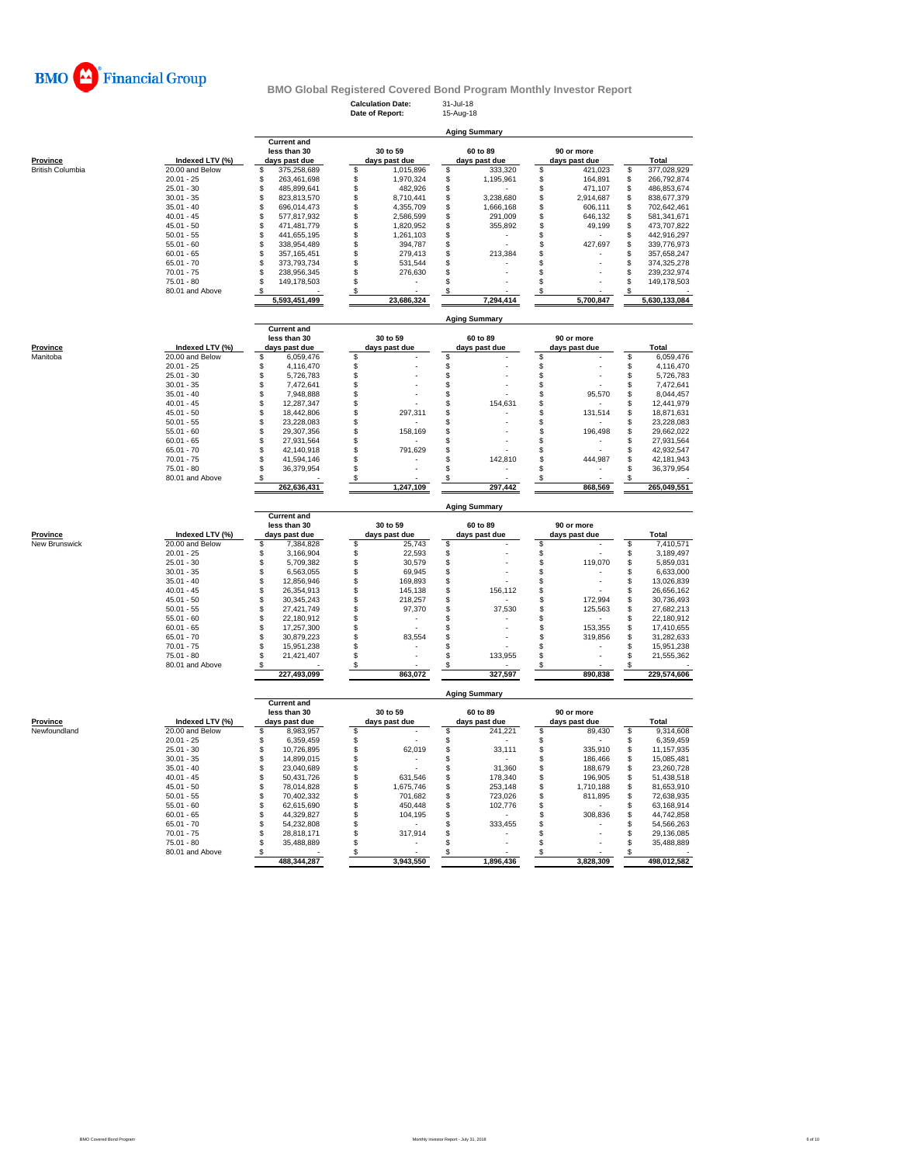

**Calculation Date:** 31-Jul-18 **Date of Report:** 15-Aug-18

**Aging Summary**

|                  |                 |               | <b>Current and</b> |               |            |               |                      |               |            |     |               |
|------------------|-----------------|---------------|--------------------|---------------|------------|---------------|----------------------|---------------|------------|-----|---------------|
|                  |                 |               | less than 30       |               | 30 to 59   |               | 60 to 89             |               | 90 or more |     |               |
| Province         | Indexed LTV (%) | days past due |                    | days past due |            | days past due |                      | days past due |            |     | Total         |
| British Columbia | 20.00 and Below |               | 375,258,689        |               | 1,015,896  |               | 333,320              |               | 421,023    | \$. | 377,028,929   |
|                  | $20.01 - 25$    |               | 263.461.698        |               | 1,970,324  |               | 1,195,961            |               | 164.891    |     | 266,792,874   |
|                  | $25.01 - 30$    |               | 485.899.641        |               | 482,926    |               |                      |               | 471.107    |     | 486.853.674   |
|                  | $30.01 - 35$    |               | 823.813.570        |               | 8.710.441  |               | 3,238,680            |               | 2,914,687  |     | 838,677,379   |
|                  | $35.01 - 40$    |               | 696.014.473        |               | 4.355.709  |               | 1,666,168            |               | 606.111    |     | 702,642,461   |
|                  | $40.01 - 45$    |               | 577.817.932        |               | 2,586,599  |               | 291,009              |               | 646.132    |     | 581,341,671   |
|                  | $45.01 - 50$    |               | 471.481.779        |               | 1,820,952  |               | 355,892              |               | 49,199     |     | 473,707,822   |
|                  | $50.01 - 55$    |               | 441.655.195        |               | 1,261,103  |               |                      |               |            |     | 442,916,297   |
|                  | $55.01 - 60$    |               | 338.954.489        |               | 394,787    |               |                      |               | 427.697    |     | 339,776,973   |
|                  | $60.01 - 65$    |               | 357, 165, 451      |               | 279,413    |               | 213,384              |               |            |     | 357,658,247   |
|                  | $65.01 - 70$    |               | 373.793.734        |               | 531,544    |               |                      |               |            |     | 374,325,278   |
|                  | $70.01 - 75$    |               | 238.956.345        |               | 276,630    |               |                      |               |            |     | 239,232,974   |
|                  | $75.01 - 80$    |               | 149,178,503        |               |            |               |                      |               |            |     | 149,178,503   |
|                  | 80.01 and Above |               |                    |               |            |               |                      |               |            |     |               |
|                  |                 |               | 5,593,451,499      |               | 23,686,324 |               | 7,294,414            |               | 5,700,847  |     | 5,630,133,084 |
|                  |                 |               |                    |               |            |               |                      |               |            |     |               |
|                  |                 |               |                    |               |            |               | <b>Aging Summary</b> |               |            |     |               |

| Province | Indexed LTV (%) | <b>Current and</b><br>less than 30<br>days past due | 30 to 59<br>days past due | 60 to 89<br>days past due | 90 or more<br>days past due | Total       |
|----------|-----------------|-----------------------------------------------------|---------------------------|---------------------------|-----------------------------|-------------|
| Manitoba | 20.00 and Below | 6.059.476                                           |                           |                           |                             |             |
|          |                 |                                                     |                           |                           |                             | 6,059,476   |
|          | $20.01 - 25$    | 4.116.470                                           |                           |                           |                             | 4,116,470   |
|          | $25.01 - 30$    | 5,726,783                                           |                           |                           |                             | 5,726,783   |
|          | $30.01 - 35$    | 7.472.641                                           |                           |                           |                             | 7,472,641   |
|          | $35.01 - 40$    | 7.948.888                                           |                           |                           | 95,570                      | 8,044,457   |
|          | $40.01 - 45$    | 12.287.347                                          |                           | 154.631                   |                             | 12.441.979  |
|          | $45.01 - 50$    | 18,442,806                                          | 297,311                   |                           | 131,514                     | 18,871,631  |
|          | $50.01 - 55$    | 23.228.083                                          |                           |                           |                             | 23,228,083  |
|          | $55.01 - 60$    | 29.307.356                                          | 158.169                   |                           | 196.498                     | 29.662.022  |
|          | $60.01 - 65$    | 27.931.564                                          |                           |                           |                             | 27,931,564  |
|          | $65.01 - 70$    | 42.140.918                                          | 791,629                   |                           |                             | 42,932,547  |
|          | $70.01 - 75$    | 41.594.146                                          |                           | 142,810                   | 444.987                     | 42.181.943  |
|          | $75.01 - 80$    | 36.379.954                                          |                           |                           |                             | 36,379,954  |
|          | 80.01 and Above |                                                     |                           |                           |                             |             |
|          |                 | 262,636,431                                         | 1.247.109                 | 297.442                   | 868.569                     | 265.049.551 |

**Aging Summary**

|                           |                 | <b>Aging Summary</b>                                |  |                           |    |                           |                             |         |  |             |  |  |
|---------------------------|-----------------|-----------------------------------------------------|--|---------------------------|----|---------------------------|-----------------------------|---------|--|-------------|--|--|
| Province<br>New Brunswick | Indexed LTV (%) | <b>Current and</b><br>less than 30<br>days past due |  | 30 to 59<br>days past due |    | 60 to 89<br>days past due | 90 or more<br>days past due |         |  | Total       |  |  |
|                           | 20.00 and Below | 7,384,828                                           |  | 25,743                    | \$ |                           |                             | ۰       |  | 7,410,571   |  |  |
|                           | $20.01 - 25$    | 3,166,904                                           |  | 22,593                    |    |                           |                             | ۰       |  | 3,189,497   |  |  |
|                           | $25.01 - 30$    | 5,709,382                                           |  | 30,579                    |    |                           |                             | 119,070 |  | 5,859,031   |  |  |
|                           | $30.01 - 35$    | 6,563,055                                           |  | 69,945                    |    |                           |                             | ۰       |  | 6,633,000   |  |  |
|                           | $35.01 - 40$    | 12.856.946                                          |  | 169,893                   |    |                           |                             | ۰       |  | 13,026,839  |  |  |
|                           | $40.01 - 45$    | 26.354.913                                          |  | 145,138                   |    | 156.112                   |                             |         |  | 26,656,162  |  |  |
|                           | $45.01 - 50$    | 30.345.243                                          |  | 218,257                   |    |                           |                             | 172.994 |  | 30,736,493  |  |  |
|                           | $50.01 - 55$    | 27.421.749                                          |  | 97,370                    |    | 37.530                    |                             | 125.563 |  | 27.682.213  |  |  |
|                           | $55.01 - 60$    | 22.180.912                                          |  |                           |    |                           |                             | ۰       |  | 22,180,912  |  |  |
|                           | $60.01 - 65$    | 17.257.300                                          |  |                           |    |                           |                             | 153.355 |  | 17.410.655  |  |  |
|                           | $65.01 - 70$    | 30.879.223                                          |  | 83,554                    |    |                           |                             | 319,856 |  | 31,282,633  |  |  |
|                           | $70.01 - 75$    | 15.951.238                                          |  |                           |    |                           |                             |         |  | 15.951.238  |  |  |
|                           | $75.01 - 80$    | 21.421.407                                          |  |                           |    | 133,955                   |                             | ۰       |  | 21,555,362  |  |  |
|                           | 80.01 and Above |                                                     |  |                           |    |                           |                             |         |  |             |  |  |
|                           |                 | 227,493,099                                         |  | 863,072                   |    | 327,597                   |                             | 890,838 |  | 229,574,606 |  |  |

|              |                 | <b>Current and</b> |               |               |               |             |
|--------------|-----------------|--------------------|---------------|---------------|---------------|-------------|
|              |                 | less than 30       | 30 to 59      | 60 to 89      | 90 or more    |             |
| Province     | Indexed LTV (%) | days past due      | days past due | days past due | days past due | Total       |
| Newfoundland | 20.00 and Below | 8.983.957          |               | 241.221       | 89.430        | 9,314,608   |
|              | $20.01 - 25$    | 6.359.459          |               |               |               | 6,359,459   |
|              | $25.01 - 30$    | 10.726.895         | 62,019        | 33,111        | 335.910       | 11,157,935  |
|              | $30.01 - 35$    | 14.899.015         |               |               | 186.466       | 15.085.481  |
|              | $35.01 - 40$    | 23.040.689         |               | 31.360        | 188,679       | 23.260.728  |
|              | $40.01 - 45$    | 50.431.726         | 631.546       | 178,340       | 196.905       | 51,438,518  |
|              | $45.01 - 50$    | 78.014.828         | 1.675.746     | 253.148       | 1.710.188     | 81,653,910  |
|              | $50.01 - 55$    | 70.402.332         | 701.682       | 723.026       | 811.895       | 72,638,935  |
|              | $55.01 - 60$    | 62.615.690         | 450,448       | 102.776       |               | 63,168,914  |
|              | $60.01 - 65$    | 44.329.827         | 104,195       |               | 308,836       | 44,742,858  |
|              | $65.01 - 70$    | 54.232.808         |               | 333.455       |               | 54,566,263  |
|              | $70.01 - 75$    | 28.818.171         | 317,914       |               |               | 29,136,085  |
|              | $75.01 - 80$    | 35.488.889         |               |               |               | 35,488,889  |
|              | 80.01 and Above |                    |               |               |               |             |
|              |                 | 488.344.287        | 3.943.550     | 1.896.436     | 3.828.309     | 498.012.582 |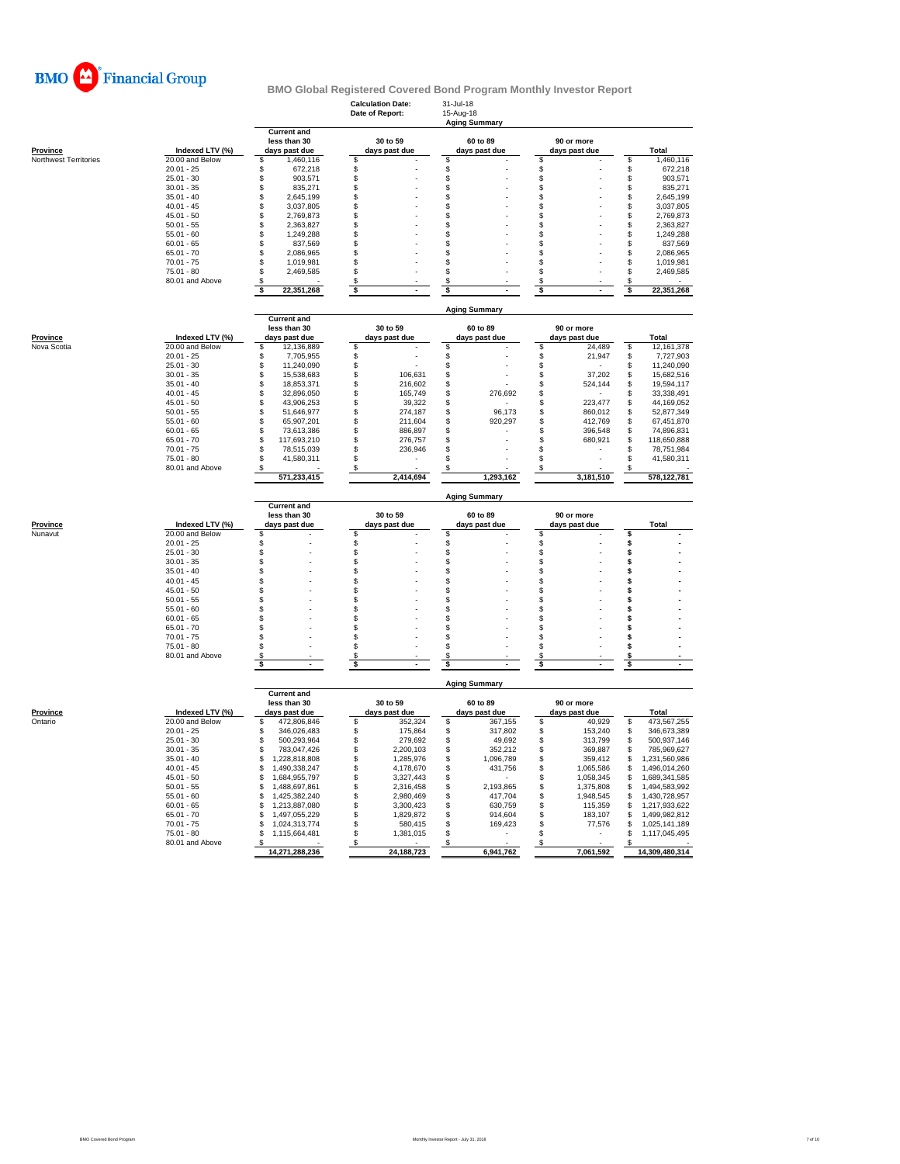

|                       |                              |                                      | <b>Calculation Date:</b><br>Date of Report: | 31-Jul-18<br>15-Aug-18<br><b>Aging Summary</b> |                                    |                                      |
|-----------------------|------------------------------|--------------------------------------|---------------------------------------------|------------------------------------------------|------------------------------------|--------------------------------------|
|                       |                              | <b>Current and</b><br>less than 30   | 30 to 59                                    | 60 to 89                                       | 90 or more                         |                                      |
| Province              | Indexed LTV (%)              | days past due                        | days past due                               | days past due                                  | days past due                      | Total                                |
| Northwest Territories | 20.00 and Below              | 1,460,116<br>\$                      | \$                                          | \$                                             | \$                                 | \$<br>1,460,116                      |
|                       | $20.01 - 25$                 | \$<br>672,218                        | \$                                          | \$                                             | \$                                 | \$<br>672,218                        |
|                       | $25.01 - 30$                 | \$<br>903,571                        | \$                                          | \$                                             | \$                                 | \$<br>903,571                        |
|                       | $30.01 - 35$                 | \$<br>835,271                        | \$                                          | \$                                             | \$                                 | \$<br>835,271                        |
|                       | $35.01 - 40$<br>$40.01 - 45$ | \$<br>2,645,199<br>\$<br>3,037,805   | \$<br>\$                                    | \$<br>\$                                       | \$<br>\$                           | 2,645,199<br>S<br>\$<br>3,037,805    |
|                       | $45.01 - 50$                 | $\ddot{\$}$<br>2,769,873             | \$                                          | \$                                             | S                                  | S<br>2,769,873                       |
|                       | $50.01 - 55$                 | \$<br>2,363,827                      | \$                                          | \$                                             | \$                                 | \$<br>2.363.827                      |
|                       | $55.01 - 60$                 | \$<br>1,249,288                      | \$                                          | \$                                             | \$                                 | \$<br>1,249,288                      |
|                       | $60.01 - 65$                 | \$<br>837,569                        | \$                                          | \$                                             | \$                                 | 837,569<br>S                         |
|                       | $65.01 - 70$                 | \$<br>2,086,965                      | \$                                          | \$                                             | \$                                 | \$<br>2,086,965                      |
|                       | $70.01 - 75$                 | \$<br>1,019,981                      | \$                                          | \$                                             | \$                                 | \$<br>1,019,981                      |
|                       | $75.01 - 80$                 | \$<br>2,469,585                      | \$                                          | \$                                             | \$                                 | \$<br>2,469,585                      |
|                       | 80.01 and Above              | \$                                   | \$                                          | \$                                             | \$                                 | S                                    |
|                       |                              | 22,351,268<br>\$                     | \$                                          | \$                                             | \$                                 | 22,351,268<br>S                      |
|                       |                              | <b>Current and</b>                   |                                             | <b>Aging Summary</b>                           |                                    |                                      |
|                       |                              | less than 30                         | 30 to 59                                    | 60 to 89                                       | 90 or more                         |                                      |
| Province              | Indexed LTV (%)              | days past due                        | days past due                               | days past due                                  | days past due                      | Total                                |
| Nova Scotia           | 20.00 and Below              | 12,136,889<br>\$                     | \$                                          | \$                                             | \$<br>24,489                       | 12,161,378<br>\$                     |
|                       | $20.01 - 25$                 | \$<br>7,705,955                      | \$                                          | $\mathfrak{s}$                                 | \$<br>21,947                       | 7,727,903<br>\$                      |
|                       | $25.01 - 30$                 | \$<br>11,240,090                     | \$                                          | \$                                             | \$                                 | 11,240,090<br>S                      |
|                       | $30.01 - 35$                 | \$<br>15,538,683                     | \$<br>106,631                               | \$                                             | 37,202<br>\$                       | \$<br>15,682,516                     |
|                       | $35.01 - 40$                 | \$<br>18,853,371                     | \$<br>216,602                               | \$                                             | \$<br>524,144                      | \$<br>19,594,117                     |
|                       | $40.01 - 45$                 | \$<br>32,896,050                     | \$<br>165,749                               | \$<br>276,692                                  | \$                                 | 33,338,491<br>\$                     |
|                       | $45.01 - 50$                 | \$<br>43.906.253<br>\$               | \$<br>39,322<br>\$                          | \$<br>\$<br>96,173                             | \$<br>223,477<br>860,012           | 44,169,052<br>S                      |
|                       | $50.01 - 55$<br>$55.01 - 60$ | 51,646,977<br>\$<br>65,907,201       | 274,187<br>\$<br>211,604                    | \$<br>920,297                                  | \$<br>\$<br>412,769                | \$<br>52,877,349<br>\$<br>67,451,870 |
|                       | $60.01 - 65$                 | \$<br>73.613.386                     | \$<br>886,897                               | \$                                             | \$<br>396,548                      | \$<br>74,896,831                     |
|                       | $65.01 - 70$                 | \$<br>117,693,210                    | \$<br>276,757                               | \$                                             | \$<br>680,921                      | 118,650,888<br>\$                    |
|                       | $70.01 - 75$                 | \$<br>78,515,039                     | \$<br>236,946                               | \$                                             | \$                                 | S<br>78,751,984                      |
|                       | $75.01 - 80$                 | 41,580,311<br>\$                     | \$                                          | \$                                             | \$                                 | 41,580,311<br>\$                     |
|                       | 80.01 and Above              | S<br>571,233,415                     | S<br>2,414,694                              | 1,293,162                                      | \$<br>3,181,510                    | 578,122,781                          |
|                       |                              |                                      |                                             |                                                |                                    |                                      |
|                       |                              | <b>Current and</b>                   |                                             | <b>Aging Summary</b>                           |                                    |                                      |
|                       |                              |                                      |                                             |                                                |                                    |                                      |
|                       |                              | less than 30                         | 30 to 59                                    | 60 to 89                                       | 90 or more                         |                                      |
| Province              | Indexed LTV (%)              | days past due                        | days past due                               | days past due                                  | days past due                      | <b>Total</b>                         |
| Nunavut               | 20.00 and Below              | \$                                   | \$                                          | \$                                             | \$                                 | \$                                   |
|                       | $20.01 - 25$                 | \$                                   | \$                                          | \$                                             | \$                                 | \$                                   |
|                       | $25.01 - 30$                 | \$                                   | \$                                          | \$                                             | \$                                 | \$                                   |
|                       | $30.01 - 35$                 | \$                                   | \$                                          | \$                                             | \$                                 | \$                                   |
|                       | $35.01 - 40$                 | \$                                   | \$                                          | \$                                             | \$                                 | \$<br>\$                             |
|                       | $40.01 - 45$<br>$45.01 - 50$ | \$<br>\$                             | \$<br>\$                                    | \$<br>\$                                       | \$<br>\$                           | \$                                   |
|                       | $50.01 - 55$                 | \$                                   | \$                                          | \$                                             | \$                                 | \$                                   |
|                       | $55.01 - 60$                 | \$                                   | \$                                          | \$                                             | \$                                 | \$                                   |
|                       | $60.01 - 65$                 | \$                                   | \$                                          | \$                                             | \$                                 | \$                                   |
|                       | $65.01 - 70$                 | \$                                   | \$                                          | \$                                             | S                                  | \$                                   |
|                       | $70.01 - 75$                 | \$                                   | \$                                          | \$                                             | \$                                 | S                                    |
|                       | $75.01 - 80$                 | \$                                   | \$                                          | \$                                             | \$                                 | \$                                   |
|                       | 80.01 and Above              | S<br>\$                              | S<br>\$                                     | \$<br>\$                                       | S<br>\$                            | \$<br>\$                             |
|                       |                              |                                      |                                             | <b>Aging Summary</b>                           |                                    |                                      |
|                       |                              | <b>Current and</b>                   |                                             |                                                |                                    |                                      |
|                       |                              | less than 30                         | 30 to 59                                    | 60 to 89                                       | 90 or more                         |                                      |
| <b>Province</b>       | Indexed LTV (%)              | days past due                        | days past due                               | days past due                                  | days past due                      | Total                                |
| Ontario               | 20.00 and Below              | 472,806,846<br>\$                    | \$<br>352,324                               | \$<br>367,155                                  | \$<br>40,929                       | \$<br>473,567,255                    |
|                       | $20.01 - 25$                 | 346,026,483<br>\$                    | \$<br>175,864                               | \$<br>317,802                                  | \$<br>153,240                      | 346,673,389<br>\$                    |
|                       | $25.01 - 30$                 | \$<br>500,293,964                    | \$<br>279,692                               | \$<br>49,692                                   | \$<br>313,799                      | \$<br>500,937,146                    |
|                       | $30.01 - 35$                 | \$<br>783,047,426                    | \$<br>2,200,103                             | \$<br>352,212                                  | \$<br>369,887                      | 785,969,627<br>\$                    |
|                       | $35.01 - 40$                 | \$<br>1,228,818,808                  | \$<br>1,285,976                             | \$<br>1,096,789                                | \$<br>359,412                      | 1,231,560,986<br>S                   |
|                       | $40.01 - 45$                 | \$<br>1,490,338,247                  | \$<br>4,178,670                             | \$<br>431,756                                  | \$<br>1,065,586                    | 1,496,014,260<br>\$<br>\$            |
|                       | $45.01 - 50$<br>$50.01 - 55$ | \$<br>1,684,955,797<br>\$            | \$<br>3,327,443                             | \$                                             | \$<br>1,058,345                    | 1,689,341,585<br>\$                  |
|                       | $55.01 - 60$                 | 1,488,697,861<br>\$<br>1,425,382,240 | \$<br>2,316,458<br>\$<br>2,980,469          | \$<br>2,193,865<br>\$<br>417.704               | \$<br>1,375,808<br>\$<br>1,948,545 | 1,494,583,992<br>1,430,728,957<br>\$ |
|                       | $60.01 - 65$                 | \$<br>1,213,887,080                  | \$<br>3,300,423                             | \$<br>630,759                                  | \$<br>115,359                      | 1,217,933,622<br>S                   |
|                       | $65.01 - 70$                 | \$<br>1,497,055,229                  | \$<br>1,829,872                             | \$<br>914,604                                  | \$<br>183,107                      | 1,499,982,812<br>S                   |
|                       | $70.01 - 75$                 | 1,024,313,774<br>S                   | \$<br>580,415                               | \$<br>169,423                                  | \$<br>77,576                       | 1,025,141,189<br>S                   |
|                       | 75.01 - 80                   | \$<br>1,115,664,481                  | \$<br>1,381,015                             | \$                                             | \$                                 | 1,117,045,495<br>\$                  |
|                       | 80.01 and Above              | - \$<br>14,271,288,236               | S<br>24,188,723                             | 6,941,762                                      | \$<br>7,061,592                    | 14,309,480,314                       |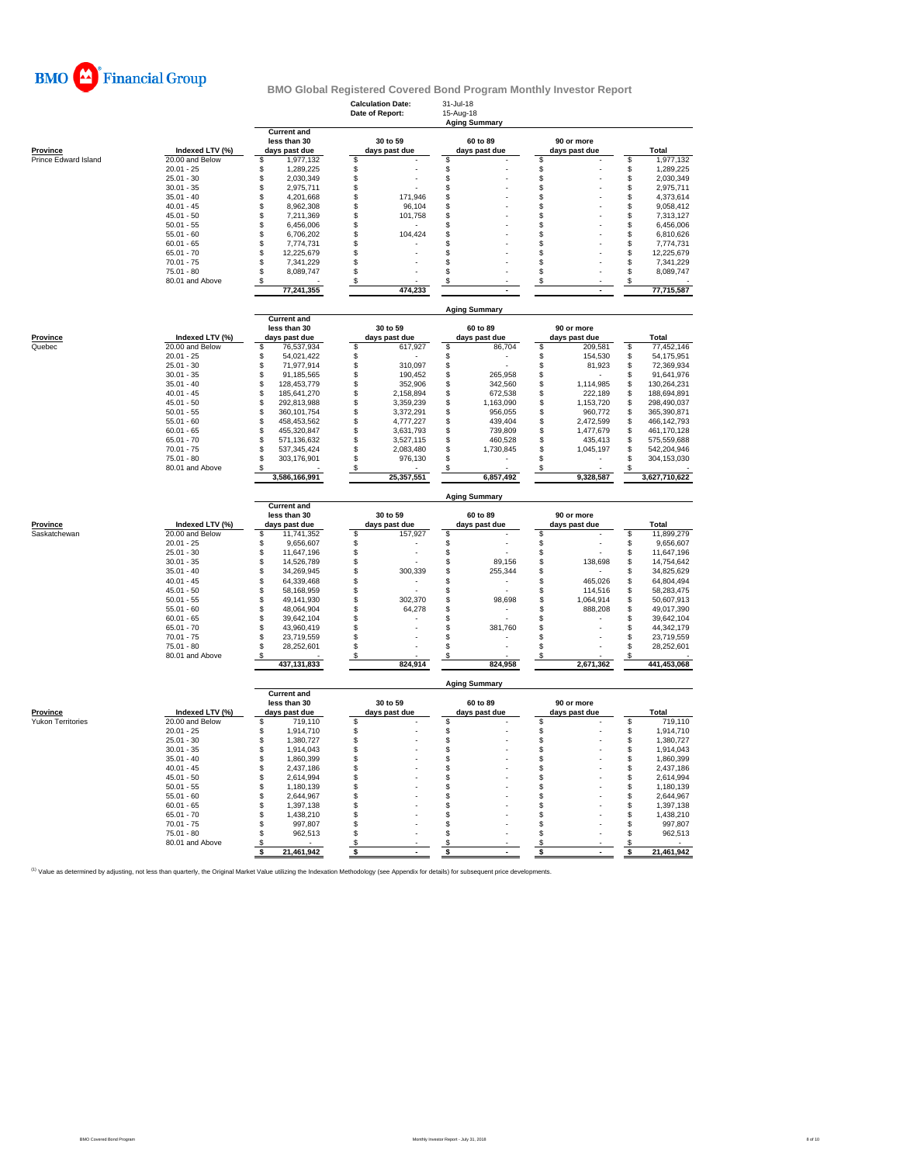

|                                      |                                    |                                                     | <b>Calculation Date:</b><br>Date of Report: | 31-Jul-18<br>15-Aug-18<br><b>Aging Summary</b> |                                 |                                      |           |  |  |  |
|--------------------------------------|------------------------------------|-----------------------------------------------------|---------------------------------------------|------------------------------------------------|---------------------------------|--------------------------------------|-----------|--|--|--|
| <b>Province</b>                      | Indexed LTV (%)                    | <b>Current and</b><br>less than 30<br>days past due | 30 to 59<br>days past due                   | 60 to 89<br>days past due                      | 90 or more<br>days past due     | Total                                |           |  |  |  |
| Prince Edward Island                 | 20.00 and Below                    | \$<br>1,977,132                                     | \$                                          | S                                              | \$                              | \$                                   | 1,977,132 |  |  |  |
|                                      | $20.01 - 25$                       | \$<br>1,289,225                                     | \$                                          | \$                                             | \$                              | \$<br>1,289,225                      |           |  |  |  |
|                                      | $25.01 - 30$                       | \$<br>2,030,349                                     | \$                                          | $\,$                                           | \$                              | \$<br>2,030,349                      |           |  |  |  |
|                                      | $30.01 - 35$                       | \$<br>2,975,711                                     | \$                                          | \$                                             | \$                              | \$<br>2,975,711                      |           |  |  |  |
|                                      | $35.01 - 40$                       | \$<br>4,201,668                                     | \$<br>171,946                               | \$                                             | \$                              | \$<br>4,373,614                      |           |  |  |  |
|                                      | $40.01 - 45$                       | \$<br>8,962,308                                     | \$<br>96,104                                | \$                                             | \$                              | \$<br>9,058,412                      |           |  |  |  |
|                                      | $45.01 - 50$                       | \$<br>7,211,369                                     | \$<br>101,758                               | \$                                             | \$                              | \$<br>7,313,127                      |           |  |  |  |
|                                      | $50.01 - 55$                       | \$<br>6,456,006                                     | \$                                          | \$                                             | \$                              | \$<br>6,456,006                      |           |  |  |  |
|                                      | $55.01 - 60$                       | \$<br>6,706,202                                     | \$<br>104,424                               | \$                                             | \$                              | \$<br>6,810,626                      |           |  |  |  |
|                                      | $60.01 - 65$                       | \$<br>7,774,731                                     | \$                                          | S                                              | \$                              | \$<br>7,774,731                      |           |  |  |  |
|                                      | $65.01 - 70$                       | \$<br>12,225,679                                    | \$                                          | \$                                             | \$                              | \$<br>12,225,679                     |           |  |  |  |
|                                      | $70.01 - 75$                       | 7,341,229<br>S                                      | \$                                          | \$                                             | £.                              | \$<br>7,341,229                      |           |  |  |  |
|                                      | $75.01 - 80$                       | \$<br>8,089,747                                     | \$                                          | S                                              | \$                              | \$<br>8,089,747                      |           |  |  |  |
|                                      | 80.01 and Above                    | \$                                                  | \$                                          | \$                                             | \$                              | \$                                   |           |  |  |  |
|                                      |                                    | 77,241,355                                          | 474,233                                     |                                                |                                 | 77,715,587                           |           |  |  |  |
|                                      |                                    | <b>Current and</b>                                  |                                             | <b>Aging Summary</b>                           |                                 |                                      |           |  |  |  |
|                                      |                                    | less than 30                                        | 30 to 59                                    | 60 to 89                                       | 90 or more                      |                                      |           |  |  |  |
| Province                             | Indexed LTV (%)                    | days past due                                       | days past due                               | days past due                                  | days past due                   | <b>Total</b>                         |           |  |  |  |
| Quebec                               | 20.00 and Below                    | \$<br>76,537,934                                    | \$<br>617,927                               | \$<br>86,704                                   | \$<br>209,581                   | 77,452,146<br>\$                     |           |  |  |  |
|                                      | $20.01 - 25$                       | \$<br>54,021,422                                    | \$                                          | \$                                             | 154,530<br>\$                   | \$<br>54,175,951                     |           |  |  |  |
|                                      | $25.01 - 30$                       | \$<br>71,977,914                                    | \$<br>310,097                               | \$                                             | \$<br>81,923                    | \$<br>72,369,934                     |           |  |  |  |
|                                      | $30.01 - 35$                       | 91,185,565<br>\$                                    | \$<br>190,452                               | 265,958<br>\$                                  | \$                              | \$<br>91,641,976                     |           |  |  |  |
|                                      | $35.01 - 40$                       | \$<br>128,453,779                                   | \$<br>352,906                               | \$<br>342,560                                  | \$<br>1,114,985                 | \$<br>130,264,231                    |           |  |  |  |
|                                      | $40.01 - 45$                       | \$<br>185,641,270                                   | \$<br>2,158,894                             | \$<br>672,538                                  | \$<br>222,189                   | \$<br>188,694,891                    |           |  |  |  |
|                                      | $45.01 - 50$                       | \$<br>292,813,988                                   | \$<br>3,359,239                             | \$<br>1,163,090                                | \$<br>1,153,720                 | \$<br>298,490,037                    |           |  |  |  |
|                                      | $50.01 - 55$                       | \$<br>360,101,754                                   | \$<br>3,372,291                             | \$<br>956,055                                  | \$<br>960,772                   | \$<br>365,390,871                    |           |  |  |  |
|                                      | $55.01 - 60$                       | \$<br>458,453,562                                   | \$<br>4,777,227                             | \$<br>439,404                                  | \$<br>2,472,599                 | \$<br>466,142,793                    |           |  |  |  |
|                                      | $60.01 - 65$<br>$65.01 - 70$       | 455,320,847<br>S                                    | \$<br>3,631,793                             | 739,809<br>S                                   | \$<br>1,477,679                 | S<br>461,170,128<br>575,559,688      |           |  |  |  |
|                                      | $70.01 - 75$                       | 571,136,632<br>\$<br>537,345,424<br>S               | \$<br>3,527,115<br>\$<br>2,083,480          | 460,528<br>\$<br>1,730,845<br>\$               | 435,413<br>\$<br>1,045,197<br>S | \$<br>\$<br>542,204,946              |           |  |  |  |
|                                      | $75.01 - 80$                       | \$<br>303,176,901                                   | \$<br>976,130                               | \$                                             | \$.                             | \$<br>304,153,030                    |           |  |  |  |
|                                      | 80.01 and Above                    | 3,586,166,991                                       | S<br>25,357,551                             | 6,857,492                                      | S<br>9,328,587                  | 3,627,710,622                        |           |  |  |  |
|                                      |                                    |                                                     |                                             |                                                |                                 |                                      |           |  |  |  |
|                                      |                                    | <b>Current and</b>                                  | 30 to 59                                    | <b>Aging Summary</b>                           |                                 |                                      |           |  |  |  |
| Province                             | Indexed LTV (%)                    | less than 30                                        | days past due                               | 60 to 89                                       | 90 or more<br>days past due     | Total                                |           |  |  |  |
| Saskatchewan                         | 20.00 and Below                    | days past due<br>11,741,352<br>\$                   | 157,927<br>\$                               | days past due<br>\$                            | \$                              | 11,899,279<br>\$                     |           |  |  |  |
|                                      | $20.01 - 25$                       | 9,656,607<br>\$                                     | \$                                          | \$                                             | \$                              | \$<br>9,656,607                      |           |  |  |  |
|                                      | $25.01 - 30$                       | 11,647,196<br>S                                     | \$                                          | \$                                             | \$                              | 11,647,196<br>\$                     |           |  |  |  |
|                                      | $30.01 - 35$                       | 14,526,789<br>\$                                    | \$                                          | \$<br>89,156                                   | \$<br>138,698                   | \$<br>14,754,642                     |           |  |  |  |
|                                      | $35.01 - 40$                       | \$<br>34,269,945                                    | \$<br>300,339                               | \$<br>255,344                                  | \$                              | \$<br>34,825,629                     |           |  |  |  |
|                                      | $40.01 - 45$                       | \$<br>64,339,468                                    | \$                                          | \$                                             | 465,026<br>\$                   | \$<br>64,804,494                     |           |  |  |  |
|                                      | $45.01 - 50$                       | \$<br>58,168,959                                    | \$                                          | \$                                             | \$<br>114,516                   | \$<br>58,283,475                     |           |  |  |  |
|                                      | $50.01 - 55$                       | \$<br>49,141,930                                    | \$<br>302,370                               | \$<br>98,698                                   | \$<br>1,064,914                 | \$<br>50,607,913                     |           |  |  |  |
|                                      | $55.01 - 60$                       | 48,064,904<br>S                                     | \$<br>64,278                                | \$                                             | 888,208<br>\$                   | S<br>49,017,390                      |           |  |  |  |
|                                      | $60.01 - 65$                       | \$<br>39,642,104                                    | \$                                          | \$                                             | \$                              | 39,642,104<br>S                      |           |  |  |  |
|                                      | 65.01 - 70                         | \$<br>43,960,419                                    | \$                                          | \$<br>381,760                                  | \$                              | \$<br>44,342,179                     |           |  |  |  |
|                                      | $70.01 - 75$<br>$75.01 - 80$       | \$<br>23,719,559<br>28,252,601<br>S                 | \$<br>\$                                    | \$<br>\$                                       | \$<br>\$                        | \$<br>23,719,559<br>\$<br>28,252,601 |           |  |  |  |
|                                      | 80.01 and Above                    | £.<br>437,131,833                                   | \$<br>824.914                               | \$<br>824,958                                  | \$<br>2.671.362                 | S<br>441.453.068                     |           |  |  |  |
|                                      |                                    |                                                     |                                             |                                                |                                 |                                      |           |  |  |  |
|                                      |                                    | <b>Current and</b>                                  |                                             | <b>Aging Summary</b>                           |                                 |                                      |           |  |  |  |
|                                      |                                    | less than 30                                        | 30 to 59                                    | 60 to 89                                       | 90 or more                      |                                      |           |  |  |  |
| Province<br><b>Yukon Territories</b> | Indexed LTV (%)<br>20.00 and Below | days past due<br>\$                                 | days past due<br>\$                         | days past due<br>\$                            | days past due                   | <b>Total</b><br>\$                   |           |  |  |  |
|                                      | $20.01 - 25$                       | 719,110<br>1,914,710<br>\$                          | \$                                          | \$                                             | \$<br>\$                        | \$<br>1,914,710                      | 719,110   |  |  |  |
|                                      | $25.01 - 30$                       | \$<br>1,380,727                                     | \$                                          | \$                                             | \$                              | \$<br>1,380,727                      |           |  |  |  |
|                                      | $30.01 - 35$                       | \$<br>1,914,043                                     | \$                                          | \$                                             | \$                              | \$<br>1,914,043                      |           |  |  |  |
|                                      | $35.01 - 40$                       | \$<br>1,860,399                                     | \$                                          | \$                                             | \$                              | \$<br>1,860,399                      |           |  |  |  |
|                                      | $40.01 - 45$                       | \$<br>2,437,186                                     | \$                                          | \$                                             | \$                              | \$<br>2,437,186                      |           |  |  |  |
|                                      | $45.01 - 50$                       | 2,614,994<br>S                                      | \$                                          | \$                                             | \$                              | \$<br>2,614,994                      |           |  |  |  |
|                                      | $50.01 - 55$                       | \$<br>1,180,139                                     | \$                                          | \$                                             | \$                              | \$<br>1,180,139                      |           |  |  |  |
|                                      | $55.01 - 60$                       | \$<br>2,644,967                                     | \$                                          | \$                                             | \$                              | \$<br>2,644,967                      |           |  |  |  |
|                                      | $60.01 - 65$                       | 1,397,138<br>\$                                     | \$                                          | \$                                             | \$                              | \$<br>1,397,138                      |           |  |  |  |
|                                      | $65.01 - 70$                       | \$<br>1,438,210                                     | \$                                          | \$                                             | \$                              | \$<br>1,438,210                      |           |  |  |  |
|                                      | $70.01 - 75$                       | 997,807<br>S                                        | \$                                          | \$                                             | \$                              | \$                                   | 997,807   |  |  |  |
|                                      | $75.01 - 80$                       | 962,513<br>S                                        | \$                                          | \$                                             | \$                              | \$                                   | 962,513   |  |  |  |
|                                      | 80.01 and Above                    | S<br>21,461,942<br>\$                               | S<br>\$                                     | \$<br>\$                                       | \$<br>\$                        | \$<br>21,461,942<br>\$               |           |  |  |  |
|                                      |                                    |                                                     |                                             |                                                |                                 |                                      |           |  |  |  |

<sup>(1)</sup> Value as determined by adjusting, not less than quarterly, the Original Market Value utilizing the Indexation Methodology (see Appendix for details) for subsequent price developments.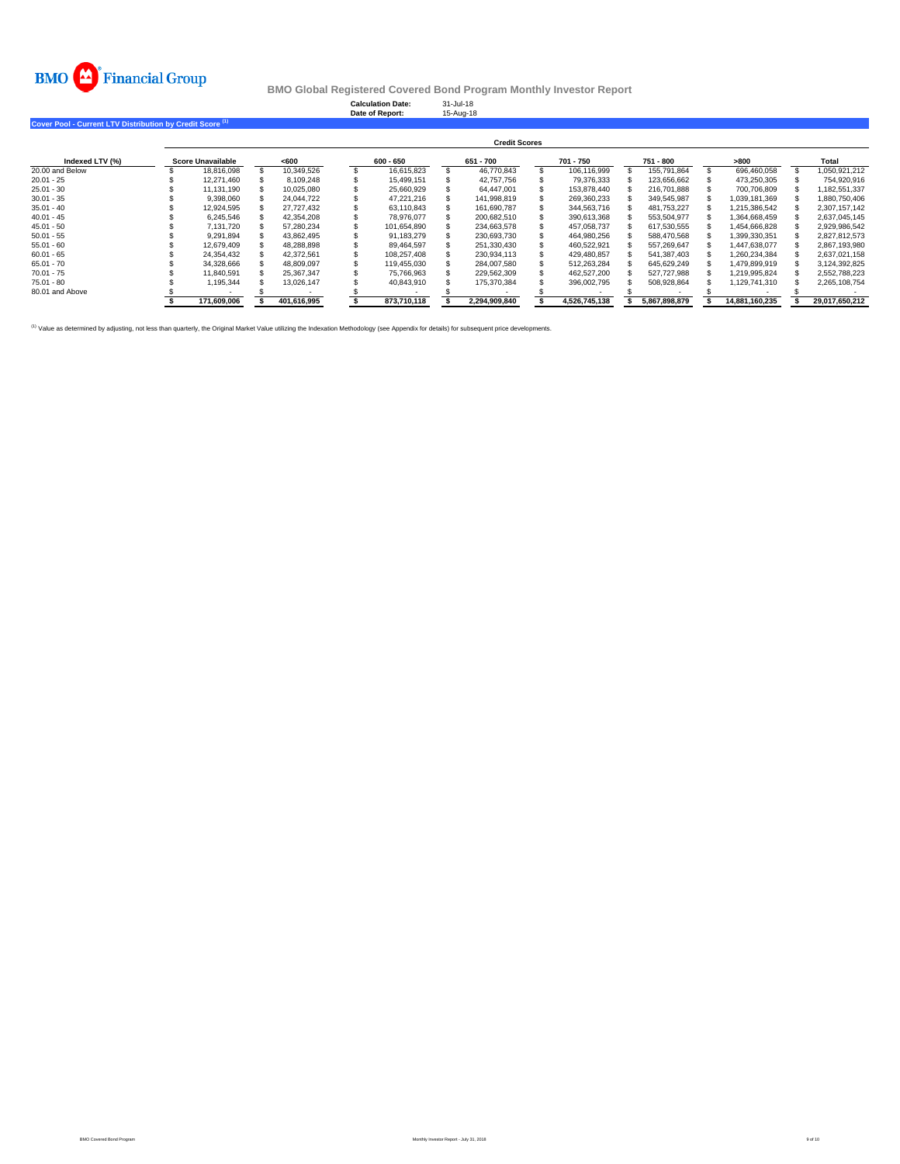

**Calculation Date:** 31-Jul-18 **Date of Report:** 15-Aug-18

**Cover Pool - Current LTV Distribution by Credit Score (1)**

|                 |                          | <b>Credit Scores</b> |      |             |             |             |           |               |           |               |           |               |      |                |       |                |
|-----------------|--------------------------|----------------------|------|-------------|-------------|-------------|-----------|---------------|-----------|---------------|-----------|---------------|------|----------------|-------|----------------|
| Indexed LTV (%) | <b>Score Unavailable</b> |                      | <600 |             | $600 - 650$ |             | 651 - 700 |               | 701 - 750 |               | 751 - 800 |               | >800 |                | Total |                |
| 20.00 and Below |                          | 18.816.098           |      | 10.349.526  |             | 16.615.823  |           | 46.770.843    |           | 106.116.999   |           | 155.791.864   |      | 696.460.058    |       | 1.050.921.212  |
| $20.01 - 25$    |                          | 12.271.460           |      | 8.109.248   |             | 15.499.151  |           | 42.757.756    |           | 79.376.333    |           | 123.656.662   |      | 473.250.305    |       | 754.920.916    |
| $25.01 - 30$    |                          | 11.131.190           |      | 10.025.080  |             | 25.660.929  |           | 64.447.001    |           | 153.878.440   |           | 216.701.888   |      | 700.706.809    |       | 1.182.551.337  |
| $30.01 - 35$    |                          | 9.398.060            |      | 24.044.722  |             | 47.221.216  |           | 141.998.819   |           | 269.360.233   |           | 349.545.987   |      | 1.039.181.369  |       | 1.880.750.406  |
| $35.01 - 40$    |                          | 12.924.595           |      | 27.727.432  |             | 63.110.843  |           | 161.690.787   |           | 344.563.716   |           | 481.753.227   |      | 1.215.386.542  |       | 2.307.157.142  |
| $40.01 - 45$    |                          | 6.245.546            |      | 42.354.208  |             | 78.976.077  |           | 200.682.510   |           | 390.613.368   |           | 553.504.977   |      | 1.364.668.459  |       | 2.637.045.145  |
| $45.01 - 50$    |                          | 7.131.720            |      | 57.280.234  |             | 101.654.890 |           | 234.663.578   |           | 457.058.737   |           | 617.530.555   |      | 1.454.666.828  |       | 2,929,986,542  |
| $50.01 - 55$    |                          | 9.291.894            |      | 43.862.495  |             | 91.183.279  |           | 230.693.730   |           | 464.980.256   |           | 588.470.568   |      | 1.399.330.351  |       | 2.827.812.573  |
| $55.01 - 60$    |                          | 12.679.409           |      | 48.288.898  |             | 89.464.597  |           | 251.330.430   |           | 460.522.921   |           | 557.269.647   |      | 1.447.638.077  |       | 2.867.193.980  |
| $60.01 - 65$    |                          | 24.354.432           |      | 42.372.561  |             | 108.257.408 |           | 230.934.113   |           | 429.480.857   |           | 541.387.403   |      | 1.260.234.384  |       | 2,637,021,158  |
| $65.01 - 70$    |                          | 34,328,666           |      | 48.809.097  |             | 119.455.030 |           | 284.007.580   |           | 512.263.284   |           | 645.629.249   |      | 1,479,899,919  |       | 3,124,392,825  |
| $70.01 - 75$    |                          | 11.840.591           |      | 25.367.347  |             | 75.766.963  |           | 229.562.309   |           | 462.527.200   |           | 527.727.988   |      | 1.219.995.824  |       | 2.552.788.223  |
| $75.01 - 80$    |                          | 1.195.344            |      | 13.026.147  |             | 40.843.910  |           | 175.370.384   |           | 396.002.795   |           | 508.928.864   |      | 1.129.741.310  |       | 2.265.108.754  |
| 80.01 and Above |                          |                      |      |             |             |             |           |               |           |               |           |               |      |                |       |                |
|                 |                          | 171.609.006          |      | 401,616,995 |             | 873.710.118 |           | 2.294.909.840 |           | 4.526.745.138 |           | 5.867.898.879 |      | 14.881.160.235 |       | 29,017,650,212 |

<sup>(1)</sup> Value as determined by adjusting, not less than quarterly, the Original Market Value utilizing the Indexation Methodology (see Appendix for details) for subsequent price developments.